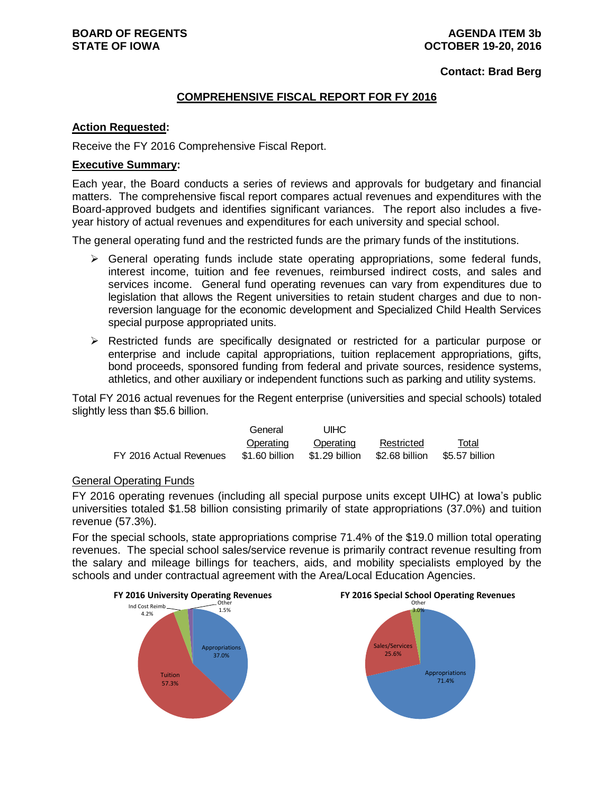**Contact: Brad Berg**

# **COMPREHENSIVE FISCAL REPORT FOR FY 2016**

## **Action Requested:**

Receive the FY 2016 Comprehensive Fiscal Report.

# **Executive Summary:**

Each year, the Board conducts a series of reviews and approvals for budgetary and financial matters. The comprehensive fiscal report compares actual revenues and expenditures with the Board-approved budgets and identifies significant variances. The report also includes a fiveyear history of actual revenues and expenditures for each university and special school.

The general operating fund and the restricted funds are the primary funds of the institutions.

- $\triangleright$  General operating funds include state operating appropriations, some federal funds, interest income, tuition and fee revenues, reimbursed indirect costs, and sales and services income. General fund operating revenues can vary from expenditures due to legislation that allows the Regent universities to retain student charges and due to nonreversion language for the economic development and Specialized Child Health Services special purpose appropriated units.
- $\triangleright$  Restricted funds are specifically designated or restricted for a particular purpose or enterprise and include capital appropriations, tuition replacement appropriations, gifts, bond proceeds, sponsored funding from federal and private sources, residence systems, athletics, and other auxiliary or independent functions such as parking and utility systems.

Total FY 2016 actual revenues for the Regent enterprise (universities and special schools) totaled slightly less than \$5.6 billion.

|                         | General        | UIHC           |                |                |
|-------------------------|----------------|----------------|----------------|----------------|
|                         | Operating      | Operating      | Restricted     | Total          |
| FY 2016 Actual Revenues | \$1.60 billion | \$1.29 billion | \$2.68 billion | \$5.57 billion |

# General Operating Funds

FY 2016 operating revenues (including all special purpose units except UIHC) at Iowa's public universities totaled \$1.58 billion consisting primarily of state appropriations (37.0%) and tuition revenue (57.3%).

For the special schools, state appropriations comprise 71.4% of the \$19.0 million total operating revenues. The special school sales/service revenue is primarily contract revenue resulting from the salary and mileage billings for teachers, aids, and mobility specialists employed by the schools and under contractual agreement with the Area/Local Education Agencies.



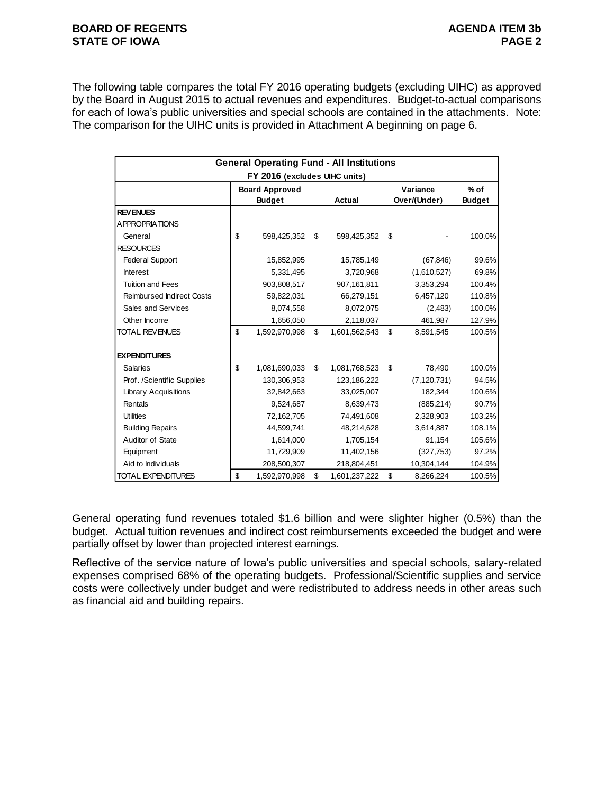## **BOARD OF REGENTS AGENUS AGENDA ITEM 3b STATE OF IOWA PAGE 2**

The following table compares the total FY 2016 operating budgets (excluding UIHC) as approved by the Board in August 2015 to actual revenues and expenditures. Budget-to-actual comparisons for each of Iowa's public universities and special schools are contained in the attachments. Note: The comparison for the UIHC units is provided in Attachment A beginning on page 6.

|                                  | <b>General Operating Fund - All Institutions</b> |                     |                 |               |
|----------------------------------|--------------------------------------------------|---------------------|-----------------|---------------|
|                                  | FY 2016 (excludes UIHC units)                    |                     |                 |               |
|                                  | <b>Board Approved</b>                            |                     | Variance        | $%$ of        |
|                                  | <b>Budget</b>                                    | <b>Actual</b>       | Over/(Under)    | <b>Budget</b> |
| <b>REVENUES</b>                  |                                                  |                     |                 |               |
| <b>APPROPRIATIONS</b>            |                                                  |                     |                 |               |
| General                          | \$<br>598,425,352                                | \$<br>598,425,352   | \$              | 100.0%        |
| <b>RESOURCES</b>                 |                                                  |                     |                 |               |
| <b>Federal Support</b>           | 15,852,995                                       | 15,785,149          | (67, 846)       | 99.6%         |
| <b>Interest</b>                  | 5,331,495                                        | 3,720,968           | (1,610,527)     | 69.8%         |
| <b>Tuition and Fees</b>          | 903,808,517                                      | 907,161,811         | 3,353,294       | 100.4%        |
| <b>Reimbursed Indirect Costs</b> | 59,822,031                                       | 66,279,151          | 6,457,120       | 110.8%        |
| Sales and Services               | 8,074,558                                        | 8,072,075           | (2,483)         | 100.0%        |
| Other Income                     | 1,656,050                                        | 2,118,037           | 461,987         | 127.9%        |
| <b>TOTAL REVENUES</b>            | \$<br>1,592,970,998                              | \$<br>1,601,562,543 | \$<br>8,591,545 | 100.5%        |
| <b>EXPENDITURES</b>              |                                                  |                     |                 |               |
| <b>Salaries</b>                  | \$<br>1,081,690,033                              | \$<br>1,081,768,523 | \$<br>78,490    | 100.0%        |
| Prof. /Scientific Supplies       | 130,306,953                                      | 123,186,222         | (7, 120, 731)   | 94.5%         |
| <b>Library Acquisitions</b>      | 32,842,663                                       | 33,025,007          | 182,344         | 100.6%        |
| Rentals                          | 9,524,687                                        | 8,639,473           | (885, 214)      | 90.7%         |
| <b>Utilities</b>                 | 72,162,705                                       | 74,491,608          | 2,328,903       | 103.2%        |
| <b>Building Repairs</b>          | 44,599,741                                       | 48,214,628          | 3,614,887       | 108.1%        |
| Auditor of State                 | 1,614,000                                        | 1,705,154           | 91,154          | 105.6%        |
| Equipment                        | 11,729,909                                       | 11,402,156          | (327, 753)      | 97.2%         |
| Aid to Individuals               | 208,500,307                                      | 218,804,451         | 10,304,144      | 104.9%        |
| <b>TOTAL EXPENDITURES</b>        | \$<br>1,592,970,998                              | \$<br>1,601,237,222 | \$<br>8,266,224 | 100.5%        |

General operating fund revenues totaled \$1.6 billion and were slighter higher (0.5%) than the budget. Actual tuition revenues and indirect cost reimbursements exceeded the budget and were partially offset by lower than projected interest earnings.

Reflective of the service nature of Iowa's public universities and special schools, salary-related expenses comprised 68% of the operating budgets. Professional/Scientific supplies and service costs were collectively under budget and were redistributed to address needs in other areas such as financial aid and building repairs.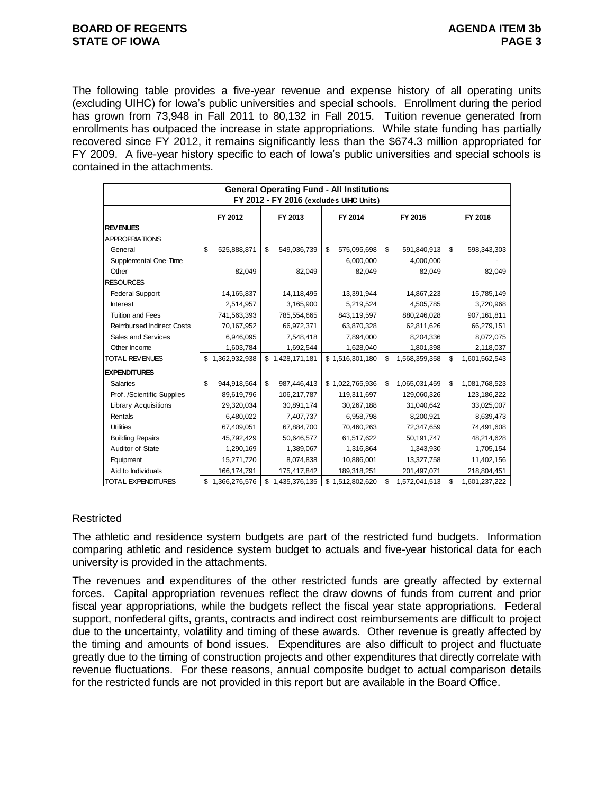## **BOARD OF REGENTS AGENUM AGENDA ITEM 3b STATE OF IOWA PAGE 3**

The following table provides a five-year revenue and expense history of all operating units (excluding UIHC) for Iowa's public universities and special schools. Enrollment during the period has grown from 73,948 in Fall 2011 to 80,132 in Fall 2015. Tuition revenue generated from enrollments has outpaced the increase in state appropriations. While state funding has partially recovered since FY 2012, it remains significantly less than the \$674.3 million appropriated for FY 2009. A five-year history specific to each of Iowa's public universities and special schools is contained in the attachments.

|                                  |                   | <b>General Operating Fund - All Institutions</b> |                   |                     |                     |
|----------------------------------|-------------------|--------------------------------------------------|-------------------|---------------------|---------------------|
|                                  |                   | FY 2012 - FY 2016 (excludes UIHC Units)          |                   |                     |                     |
|                                  | FY 2012           | FY 2013                                          | FY 2014           | FY 2015             | FY 2016             |
| <b>REVENUES</b>                  |                   |                                                  |                   |                     |                     |
| <b>A PPROPRIA TIONS</b>          |                   |                                                  |                   |                     |                     |
| General                          | \$<br>525,888,871 | \$<br>549,036,739                                | \$<br>575,095,698 | \$<br>591,840,913   | \$<br>598,343,303   |
| Supplemental One-Time            |                   |                                                  | 6,000,000         | 4,000,000           |                     |
| Other                            | 82,049            | 82,049                                           | 82,049            | 82,049              | 82,049              |
| <b>RESOURCES</b>                 |                   |                                                  |                   |                     |                     |
| <b>Federal Support</b>           | 14,165,837        | 14,118,495                                       | 13,391,944        | 14,867,223          | 15,785,149          |
| <b>Interest</b>                  | 2,514,957         | 3,165,900                                        | 5,219,524         | 4,505,785           | 3,720,968           |
| <b>Tuition and Fees</b>          | 741,563,393       | 785,554,665                                      | 843,119,597       | 880,246,028         | 907,161,811         |
| <b>Reimbursed Indirect Costs</b> | 70,167,952        | 66,972,371                                       | 63,870,328        | 62,811,626          | 66,279,151          |
| Sales and Services               | 6,946,095         | 7,548,418                                        | 7,894,000         | 8,204,336           | 8,072,075           |
| Other Income                     | 1,603,784         | 1,692,544                                        | 1,628,040         | 1,801,398           | 2,118,037           |
| <b>TOTAL REVENUES</b>            | \$1,362,932,938   | \$1,428,171,181                                  | \$1,516,301,180   | \$<br>1,568,359,358 | \$<br>1,601,562,543 |
| <b>EXPENDITURES</b>              |                   |                                                  |                   |                     |                     |
| Salaries                         | \$<br>944,918,564 | \$<br>987,446,413                                | \$1,022,765,936   | 1,065,031,459<br>\$ | \$<br>1,081,768,523 |
| Prof. /Scientific Supplies       | 89,619,796        | 106,217,787                                      | 119,311,697       | 129,060,326         | 123,186,222         |
| <b>Library Acquisitions</b>      | 29,320,034        | 30,891,174                                       | 30,267,188        | 31,040,642          | 33,025,007          |
| Rentals                          | 6,480,022         | 7,407,737                                        | 6,958,798         | 8,200,921           | 8,639,473           |
| <b>Utilities</b>                 | 67,409,051        | 67,884,700                                       | 70,460,263        | 72,347,659          | 74,491,608          |
| <b>Building Repairs</b>          | 45,792,429        | 50,646,577                                       | 61,517,622        | 50,191,747          | 48,214,628          |
| Auditor of State                 | 1,290,169         | 1,389,067                                        | 1,316,864         | 1,343,930           | 1,705,154           |
| Equipment                        | 15,271,720        | 8,074,838                                        | 10,886,001        | 13,327,758          | 11,402,156          |
| Aid to Individuals               | 166,174,791       | 175,417,842                                      | 189,318,251       | 201,497,071         | 218,804,451         |
| TOTAL EXPENDITURES               | \$1,366,276,576   | 1,435,376,135<br>\$                              | \$1,512,802,620   | \$<br>1,572,041,513 | \$<br>1,601,237,222 |

# Restricted

The athletic and residence system budgets are part of the restricted fund budgets. Information comparing athletic and residence system budget to actuals and five-year historical data for each university is provided in the attachments.

The revenues and expenditures of the other restricted funds are greatly affected by external forces. Capital appropriation revenues reflect the draw downs of funds from current and prior fiscal year appropriations, while the budgets reflect the fiscal year state appropriations. Federal support, nonfederal gifts, grants, contracts and indirect cost reimbursements are difficult to project due to the uncertainty, volatility and timing of these awards. Other revenue is greatly affected by the timing and amounts of bond issues. Expenditures are also difficult to project and fluctuate greatly due to the timing of construction projects and other expenditures that directly correlate with revenue fluctuations. For these reasons, annual composite budget to actual comparison details for the restricted funds are not provided in this report but are available in the Board Office.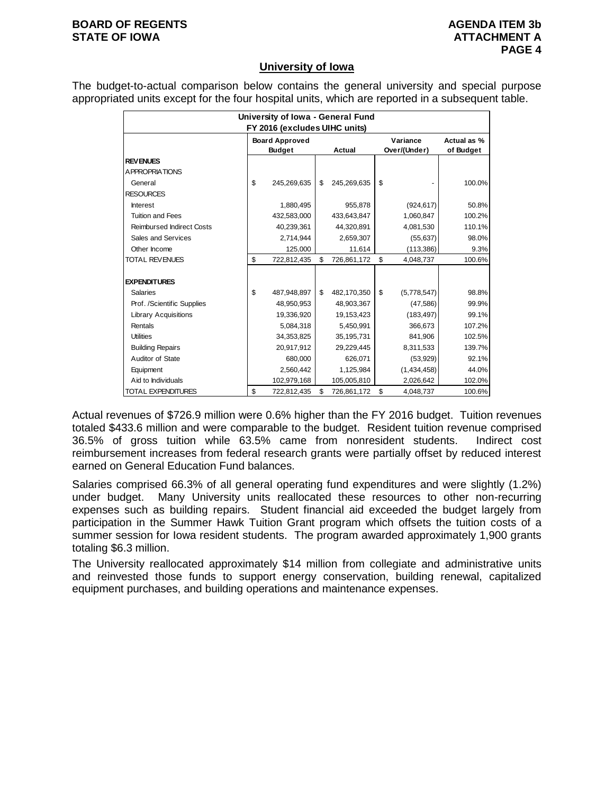# **BOARD OF REGENTS AGENUS AGENDA ITEM 3b STATE OF IOWA ATTACHMENT A**

# **University of Iowa**

The budget-to-actual comparison below contains the general university and special purpose appropriated units except for the four hospital units, which are reported in a subsequent table.

|                                  | University of Iowa - General Fund |                               |    |             |    |              |             |  |  |  |
|----------------------------------|-----------------------------------|-------------------------------|----|-------------|----|--------------|-------------|--|--|--|
|                                  |                                   | FY 2016 (excludes UIHC units) |    |             |    |              |             |  |  |  |
|                                  |                                   | <b>Board Approved</b>         |    |             |    | Variance     | Actual as % |  |  |  |
|                                  |                                   | <b>Budget</b>                 |    | Actual      |    | Over/(Under) | of Budget   |  |  |  |
| <b>REVENUES</b>                  |                                   |                               |    |             |    |              |             |  |  |  |
| A PPROPRIATIONS                  |                                   |                               |    |             |    |              |             |  |  |  |
| General                          | \$                                | 245,269,635                   | \$ | 245,269,635 | \$ |              | 100.0%      |  |  |  |
| <b>RESOURCES</b>                 |                                   |                               |    |             |    |              |             |  |  |  |
| <b>Interest</b>                  |                                   | 1,880,495                     |    | 955,878     |    | (924, 617)   | 50.8%       |  |  |  |
| <b>Tuition and Fees</b>          |                                   | 432,583,000                   |    | 433,643,847 |    | 1,060,847    | 100.2%      |  |  |  |
| <b>Reimbursed Indirect Costs</b> |                                   | 40,239,361                    |    | 44,320,891  |    | 4,081,530    | 110.1%      |  |  |  |
| Sales and Services               |                                   | 2,714,944                     |    | 2,659,307   |    | (55, 637)    | 98.0%       |  |  |  |
| Other Income                     |                                   | 125,000                       |    | 11,614      |    | (113, 386)   | 9.3%        |  |  |  |
| <b>TOTAL REVENUES</b>            | \$                                | 722,812,435                   | \$ | 726,861,172 | \$ | 4,048,737    | 100.6%      |  |  |  |
|                                  |                                   |                               |    |             |    |              |             |  |  |  |
| <b>EXPENDITURES</b>              |                                   |                               |    |             |    |              |             |  |  |  |
| <b>Salaries</b>                  | \$                                | 487,948,897                   | \$ | 482,170,350 | \$ | (5,778,547)  | 98.8%       |  |  |  |
| Prof. /Scientific Supplies       |                                   | 48,950,953                    |    | 48,903,367  |    | (47, 586)    | 99.9%       |  |  |  |
| <b>Library Acquisitions</b>      |                                   | 19,336,920                    |    | 19,153,423  |    | (183, 497)   | 99.1%       |  |  |  |
| Rentals                          |                                   | 5,084,318                     |    | 5,450,991   |    | 366,673      | 107.2%      |  |  |  |
| <b>Utilities</b>                 |                                   | 34,353,825                    |    | 35,195,731  |    | 841,906      | 102.5%      |  |  |  |
| <b>Building Repairs</b>          |                                   | 20,917,912                    |    | 29,229,445  |    | 8,311,533    | 139.7%      |  |  |  |
| Auditor of State                 |                                   | 680,000                       |    | 626,071     |    | (53, 929)    | 92.1%       |  |  |  |
| Equipment                        |                                   | 2,560,442                     |    | 1,125,984   |    | (1,434,458)  | 44.0%       |  |  |  |
| Aid to Individuals               |                                   | 102,979,168                   |    | 105,005,810 |    | 2,026,642    | 102.0%      |  |  |  |
| <b>TOTAL EXPENDITURES</b>        | \$                                | 722,812,435                   | \$ | 726,861,172 | \$ | 4,048,737    | 100.6%      |  |  |  |

Actual revenues of \$726.9 million were 0.6% higher than the FY 2016 budget. Tuition revenues totaled \$433.6 million and were comparable to the budget. Resident tuition revenue comprised 36.5% of gross tuition while 63.5% came from nonresident students. Indirect cost reimbursement increases from federal research grants were partially offset by reduced interest earned on General Education Fund balances.

Salaries comprised 66.3% of all general operating fund expenditures and were slightly (1.2%) under budget. Many University units reallocated these resources to other non-recurring expenses such as building repairs. Student financial aid exceeded the budget largely from participation in the Summer Hawk Tuition Grant program which offsets the tuition costs of a summer session for Iowa resident students. The program awarded approximately 1,900 grants totaling \$6.3 million.

The University reallocated approximately \$14 million from collegiate and administrative units and reinvested those funds to support energy conservation, building renewal, capitalized equipment purchases, and building operations and maintenance expenses.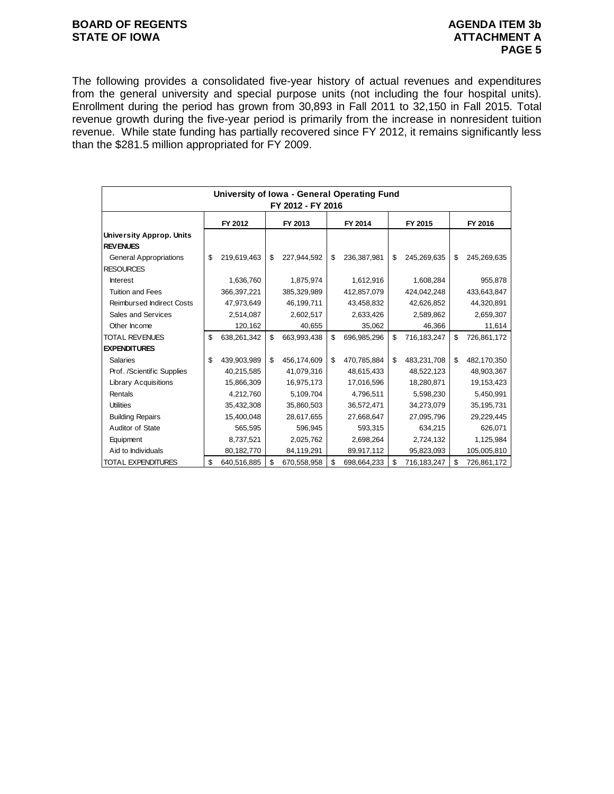# **BOARD OF REGENTS**<br> **BOARD OF REGENTS**<br> **BOARD OF IOWA**<br> **ATTACHMENT A**

The following provides a consolidated five-year history of actual revenues and expenditures from the general university and special purpose units (not including the four hospital units). Enrollment during the period has grown from 30,893 in Fall 2011 to 32,150 in Fall 2015. Total revenue growth during the five-year period is primarily from the increase in nonresident tuition revenue. While state funding has partially recovered since FY 2012, it remains significantly less than the \$281.5 million appropriated for FY 2009.

|                                                    |    |               |    |             |    |             | University of Iowa - General Operating Fund |             |    |              |  |  |  |  |  |  |
|----------------------------------------------------|----|---------------|----|-------------|----|-------------|---------------------------------------------|-------------|----|--------------|--|--|--|--|--|--|
| FY 2012 - FY 2016                                  |    |               |    |             |    |             |                                             |             |    |              |  |  |  |  |  |  |
|                                                    |    | FY 2012       |    | FY 2013     |    | FY 2014     |                                             | FY 2015     |    | FY 2016      |  |  |  |  |  |  |
| <b>University Approp. Units</b><br><b>REVENUES</b> |    |               |    |             |    |             |                                             |             |    |              |  |  |  |  |  |  |
| <b>General Appropriations</b><br><b>RESOURCES</b>  | \$ | 219,619,463   | \$ | 227,944,592 | \$ | 236,387,981 | \$                                          | 245,269,635 | \$ | 245,269,635  |  |  |  |  |  |  |
| <b>Interest</b>                                    |    | 1,636,760     |    | 1,875,974   |    | 1,612,916   |                                             | 1,608,284   |    | 955,878      |  |  |  |  |  |  |
| <b>Tuition and Fees</b>                            |    | 366, 397, 221 |    | 385,329,989 |    | 412,857,079 |                                             | 424,042,248 |    | 433,643,847  |  |  |  |  |  |  |
| <b>Reimbursed Indirect Costs</b>                   |    | 47,973,649    |    | 46,199,711  |    | 43,458,832  |                                             | 42,626,852  |    | 44,320,891   |  |  |  |  |  |  |
| Sales and Services                                 |    | 2,514,087     |    | 2,602,517   |    | 2,633,426   |                                             | 2,589,862   |    | 2,659,307    |  |  |  |  |  |  |
| Other Income                                       |    | 120,162       |    | 40,655      |    | 35,062      |                                             | 46,366      |    | 11,614       |  |  |  |  |  |  |
| <b>TOTAL REVENUES</b>                              | \$ | 638,261,342   | \$ | 663,993,438 | \$ | 696,985,296 | \$                                          | 716,183,247 | \$ | 726,861,172  |  |  |  |  |  |  |
| <b>EXPENDITURES</b>                                |    |               |    |             |    |             |                                             |             |    |              |  |  |  |  |  |  |
| <b>Salaries</b>                                    | \$ | 439,903,989   | \$ | 456,174,609 | \$ | 470,785,884 | \$                                          | 483,231,708 | \$ | 482,170,350  |  |  |  |  |  |  |
| Prof. /Scientific Supplies                         |    | 40,215,585    |    | 41,079,316  |    | 48,615,433  |                                             | 48,522,123  |    | 48,903,367   |  |  |  |  |  |  |
| <b>Library Acquisitions</b>                        |    | 15,866,309    |    | 16,975,173  |    | 17,016,596  |                                             | 18,280,871  |    | 19,153,423   |  |  |  |  |  |  |
| Rentals                                            |    | 4,212,760     |    | 5,109,704   |    | 4,796,511   |                                             | 5,598,230   |    | 5,450,991    |  |  |  |  |  |  |
| <b>Utilities</b>                                   |    | 35,432,308    |    | 35,860,503  |    | 36,572,471  |                                             | 34,273,079  |    | 35, 195, 731 |  |  |  |  |  |  |
| <b>Building Repairs</b>                            |    | 15,400,048    |    | 28,617,655  |    | 27,668,647  |                                             | 27,095,796  |    | 29,229,445   |  |  |  |  |  |  |
| Auditor of State                                   |    | 565,595       |    | 596,945     |    | 593,315     |                                             | 634,215     |    | 626,071      |  |  |  |  |  |  |
| Equipment                                          |    | 8,737,521     |    | 2,025,762   |    | 2,698,264   |                                             | 2,724,132   |    | 1,125,984    |  |  |  |  |  |  |
| Aid to Individuals                                 |    | 80,182,770    |    | 84,119,291  |    | 89,917,112  |                                             | 95,823,093  |    | 105,005,810  |  |  |  |  |  |  |
| <b>TOTAL EXPENDITURES</b>                          | \$ | 640,516,885   | \$ | 670,558,958 | \$ | 698,664,233 | \$                                          | 716,183,247 | \$ | 726,861,172  |  |  |  |  |  |  |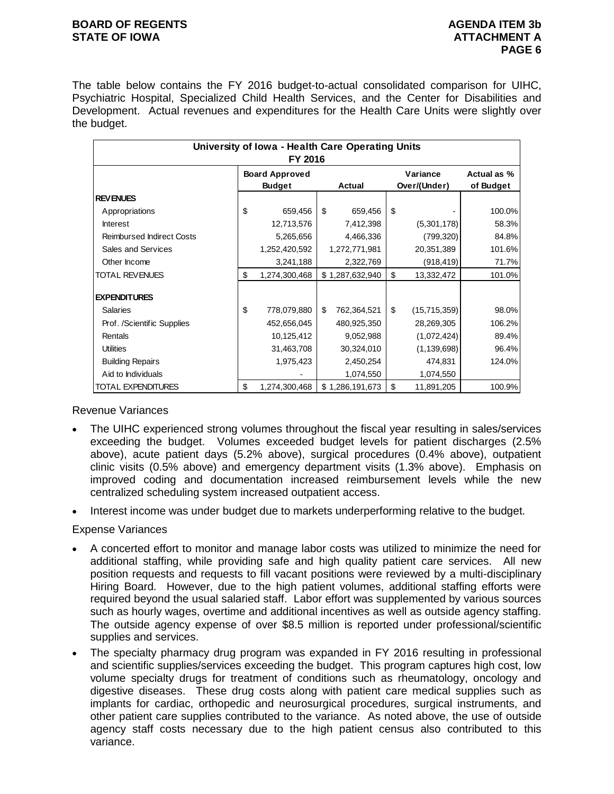# **BOARD OF REGENTS AGENUS AGENDA ITEM 3b STATE OF IOWA ATTACHMENT A**

The table below contains the FY 2016 budget-to-actual consolidated comparison for UIHC, Psychiatric Hospital, Specialized Child Health Services, and the Center for Disabilities and Development. Actual revenues and expenditures for the Health Care Units were slightly over the budget.

|                                                                                                                                                                                                                                                                                                                                                                                                                                                                                                                                                                                                                                                                                                                                                                                                                                                                                                                                                                                                                                                                                                                                                                                                                                                                                                                          |    | FY 2016                                | University of Iowa - Health Care Operating Units |    |                          |                          |  |  |
|--------------------------------------------------------------------------------------------------------------------------------------------------------------------------------------------------------------------------------------------------------------------------------------------------------------------------------------------------------------------------------------------------------------------------------------------------------------------------------------------------------------------------------------------------------------------------------------------------------------------------------------------------------------------------------------------------------------------------------------------------------------------------------------------------------------------------------------------------------------------------------------------------------------------------------------------------------------------------------------------------------------------------------------------------------------------------------------------------------------------------------------------------------------------------------------------------------------------------------------------------------------------------------------------------------------------------|----|----------------------------------------|--------------------------------------------------|----|--------------------------|--------------------------|--|--|
|                                                                                                                                                                                                                                                                                                                                                                                                                                                                                                                                                                                                                                                                                                                                                                                                                                                                                                                                                                                                                                                                                                                                                                                                                                                                                                                          |    | <b>Board Approved</b><br><b>Budget</b> | Actual                                           |    | Variance<br>Over/(Under) | Actual as %<br>of Budget |  |  |
| <b>REVENUES</b>                                                                                                                                                                                                                                                                                                                                                                                                                                                                                                                                                                                                                                                                                                                                                                                                                                                                                                                                                                                                                                                                                                                                                                                                                                                                                                          |    |                                        |                                                  |    |                          |                          |  |  |
| Appropriations                                                                                                                                                                                                                                                                                                                                                                                                                                                                                                                                                                                                                                                                                                                                                                                                                                                                                                                                                                                                                                                                                                                                                                                                                                                                                                           | \$ | 659,456                                | \$<br>659,456                                    | \$ |                          | $100.0\%$                |  |  |
| <b>Interest</b>                                                                                                                                                                                                                                                                                                                                                                                                                                                                                                                                                                                                                                                                                                                                                                                                                                                                                                                                                                                                                                                                                                                                                                                                                                                                                                          |    | 12,713,576                             | 7,412,398                                        |    | (5,301,178)              | 58.3%                    |  |  |
| <b>Reimbursed Indirect Costs</b>                                                                                                                                                                                                                                                                                                                                                                                                                                                                                                                                                                                                                                                                                                                                                                                                                                                                                                                                                                                                                                                                                                                                                                                                                                                                                         |    | 5,265,656                              | 4,466,336                                        |    | (799, 320)               | 84.8%                    |  |  |
| Sales and Services                                                                                                                                                                                                                                                                                                                                                                                                                                                                                                                                                                                                                                                                                                                                                                                                                                                                                                                                                                                                                                                                                                                                                                                                                                                                                                       |    | 1,252,420,592                          | 1,272,771,981                                    |    | 20,351,389               | 101.6%                   |  |  |
| Other Income                                                                                                                                                                                                                                                                                                                                                                                                                                                                                                                                                                                                                                                                                                                                                                                                                                                                                                                                                                                                                                                                                                                                                                                                                                                                                                             |    | 3,241,188                              | 2,322,769                                        |    | (918, 419)               | 71.7%                    |  |  |
| <b>TOTAL REVENUES</b>                                                                                                                                                                                                                                                                                                                                                                                                                                                                                                                                                                                                                                                                                                                                                                                                                                                                                                                                                                                                                                                                                                                                                                                                                                                                                                    | \$ | 1,274,300,468                          | \$1,287,632,940                                  | \$ | 13,332,472               | 101.0%                   |  |  |
| <b>EXPENDITURES</b>                                                                                                                                                                                                                                                                                                                                                                                                                                                                                                                                                                                                                                                                                                                                                                                                                                                                                                                                                                                                                                                                                                                                                                                                                                                                                                      |    |                                        |                                                  |    |                          |                          |  |  |
| <b>Salaries</b>                                                                                                                                                                                                                                                                                                                                                                                                                                                                                                                                                                                                                                                                                                                                                                                                                                                                                                                                                                                                                                                                                                                                                                                                                                                                                                          | \$ | 778,079,880                            | \$<br>762,364,521                                | \$ | (15,715,359)             | 98.0%                    |  |  |
| Prof. /Scientific Supplies                                                                                                                                                                                                                                                                                                                                                                                                                                                                                                                                                                                                                                                                                                                                                                                                                                                                                                                                                                                                                                                                                                                                                                                                                                                                                               |    | 452,656,045                            | 480,925,350                                      |    | 28,269,305               | 106.2%                   |  |  |
| Rentals                                                                                                                                                                                                                                                                                                                                                                                                                                                                                                                                                                                                                                                                                                                                                                                                                                                                                                                                                                                                                                                                                                                                                                                                                                                                                                                  |    | 10,125,412                             | 9,052,988                                        |    | (1,072,424)              | 89.4%                    |  |  |
| <b>Utilities</b>                                                                                                                                                                                                                                                                                                                                                                                                                                                                                                                                                                                                                                                                                                                                                                                                                                                                                                                                                                                                                                                                                                                                                                                                                                                                                                         |    | 31,463,708                             | 30,324,010                                       |    | (1, 139, 698)            | 96.4%                    |  |  |
| <b>Building Repairs</b>                                                                                                                                                                                                                                                                                                                                                                                                                                                                                                                                                                                                                                                                                                                                                                                                                                                                                                                                                                                                                                                                                                                                                                                                                                                                                                  |    | 1,975,423                              | 2,450,254                                        |    | 474,831                  | 124.0%                   |  |  |
| Aid to Individuals                                                                                                                                                                                                                                                                                                                                                                                                                                                                                                                                                                                                                                                                                                                                                                                                                                                                                                                                                                                                                                                                                                                                                                                                                                                                                                       |    |                                        | 1,074,550                                        |    | 1,074,550                |                          |  |  |
| <b>TOTAL EXPENDITURES</b>                                                                                                                                                                                                                                                                                                                                                                                                                                                                                                                                                                                                                                                                                                                                                                                                                                                                                                                                                                                                                                                                                                                                                                                                                                                                                                | \$ | 1,274,300,468                          | \$1,286,191,673                                  | \$ | 11,891,205               | 100.9%                   |  |  |
| clinic visits (0.5% above) and emergency department visits (1.3% above). Emphasis<br>improved coding and documentation increased reimbursement levels while the<br>centralized scheduling system increased outpatient access.                                                                                                                                                                                                                                                                                                                                                                                                                                                                                                                                                                                                                                                                                                                                                                                                                                                                                                                                                                                                                                                                                            |    |                                        |                                                  |    |                          |                          |  |  |
|                                                                                                                                                                                                                                                                                                                                                                                                                                                                                                                                                                                                                                                                                                                                                                                                                                                                                                                                                                                                                                                                                                                                                                                                                                                                                                                          |    |                                        |                                                  |    |                          |                          |  |  |
| ense Variances                                                                                                                                                                                                                                                                                                                                                                                                                                                                                                                                                                                                                                                                                                                                                                                                                                                                                                                                                                                                                                                                                                                                                                                                                                                                                                           |    |                                        |                                                  |    |                          |                          |  |  |
| Interest income was under budget due to markets underperforming relative to the budget<br>A concerted effort to monitor and manage labor costs was utilized to minimize the need<br>additional staffing, while providing safe and high quality patient care services.<br>All<br>position requests and requests to fill vacant positions were reviewed by a multi-discipli<br>Hiring Board. However, due to the high patient volumes, additional staffing efforts v<br>required beyond the usual salaried staff. Labor effort was supplemented by various sou<br>such as hourly wages, overtime and additional incentives as well as outside agency staf<br>The outside agency expense of over \$8.5 million is reported under professional/scier<br>supplies and services.<br>The specialty pharmacy drug program was expanded in FY 2016 resulting in professi<br>and scientific supplies/services exceeding the budget. This program captures high cost,<br>volume specialty drugs for treatment of conditions such as rheumatology, oncology<br>digestive diseases. These drug costs along with patient care medical supplies such<br>implants for cardiac, orthopedic and neurosurgical procedures, surgical instruments,<br>other patient care supplies contributed to the variance. As noted above, the use of out |    |                                        |                                                  |    |                          |                          |  |  |

Revenue Variances

- The UIHC experienced strong volumes throughout the fiscal year resulting in sales/services exceeding the budget. Volumes exceeded budget levels for patient discharges (2.5% above), acute patient days (5.2% above), surgical procedures (0.4% above), outpatient clinic visits (0.5% above) and emergency department visits (1.3% above). Emphasis on improved coding and documentation increased reimbursement levels while the new centralized scheduling system increased outpatient access.
- Interest income was under budget due to markets underperforming relative to the budget.

Expense Variances

- A concerted effort to monitor and manage labor costs was utilized to minimize the need for additional staffing, while providing safe and high quality patient care services. All new position requests and requests to fill vacant positions were reviewed by a multi-disciplinary Hiring Board. However, due to the high patient volumes, additional staffing efforts were required beyond the usual salaried staff. Labor effort was supplemented by various sources such as hourly wages, overtime and additional incentives as well as outside agency staffing. The outside agency expense of over \$8.5 million is reported under professional/scientific supplies and services.
- The specialty pharmacy drug program was expanded in FY 2016 resulting in professional and scientific supplies/services exceeding the budget. This program captures high cost, low volume specialty drugs for treatment of conditions such as rheumatology, oncology and digestive diseases. These drug costs along with patient care medical supplies such as implants for cardiac, orthopedic and neurosurgical procedures, surgical instruments, and other patient care supplies contributed to the variance. As noted above, the use of outside agency staff costs necessary due to the high patient census also contributed to this variance.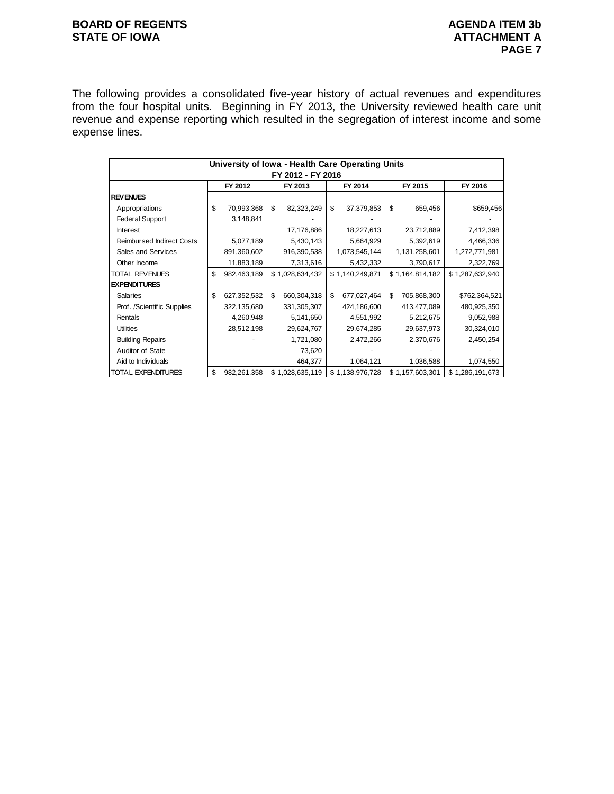# **BOARD OF REGENTS**<br> **BOARD OF REGENTS**<br> **BOARD OF IOWA**<br> **ATTACHMENT A STATE OF IOWA**

The following provides a consolidated five-year history of actual revenues and expenditures from the four hospital units. Beginning in FY 2013, the University reviewed health care unit revenue and expense reporting which resulted in the segregation of interest income and some expense lines.

|                                  | University of Iowa - Health Care Operating Units |             |    |                   |    |                 |     |                 |  |                 |  |
|----------------------------------|--------------------------------------------------|-------------|----|-------------------|----|-----------------|-----|-----------------|--|-----------------|--|
|                                  |                                                  |             |    | FY 2012 - FY 2016 |    |                 |     |                 |  |                 |  |
|                                  |                                                  | FY 2012     |    | FY 2013           |    | FY 2014         |     | FY 2015         |  | FY 2016         |  |
| <b>REVENUES</b>                  |                                                  |             |    |                   |    |                 |     |                 |  |                 |  |
| Appropriations                   | \$                                               | 70,993,368  | \$ | 82,323,249        | \$ | 37,379,853      | \$  | 659,456         |  | \$659,456       |  |
| <b>Federal Support</b>           |                                                  | 3,148,841   |    |                   |    |                 |     |                 |  |                 |  |
| <b>Interest</b>                  |                                                  |             |    | 17,176,886        |    | 18,227,613      |     | 23,712,889      |  | 7,412,398       |  |
| <b>Reimbursed Indirect Costs</b> |                                                  | 5,077,189   |    | 5,430,143         |    | 5,664,929       |     | 5,392,619       |  | 4,466,336       |  |
| Sales and Services               |                                                  | 891,360,602 |    | 916,390,538       |    | 1,073,545,144   |     | 1,131,258,601   |  | 1,272,771,981   |  |
| Other Income                     |                                                  | 11,883,189  |    | 7,313,616         |    | 5,432,332       |     | 3,790,617       |  | 2,322,769       |  |
| TOTAL REVENUES                   | \$                                               | 982,463,189 |    | \$1,028,634,432   |    | \$1,140,249,871 |     | \$1,164,814,182 |  | \$1,287,632,940 |  |
| <b>EXPENDITURES</b>              |                                                  |             |    |                   |    |                 |     |                 |  |                 |  |
| <b>Salaries</b>                  | \$                                               | 627,352,532 | \$ | 660,304,318       | \$ | 677,027,464     | \$. | 705,868,300     |  | \$762,364,521   |  |
| Prof. /Scientific Supplies       |                                                  | 322,135,680 |    | 331,305,307       |    | 424,186,600     |     | 413,477,089     |  | 480,925,350     |  |
| Rentals                          |                                                  | 4,260,948   |    | 5,141,650         |    | 4,551,992       |     | 5,212,675       |  | 9,052,988       |  |
| <b>Utilities</b>                 |                                                  | 28,512,198  |    | 29,624,767        |    | 29,674,285      |     | 29,637,973      |  | 30,324,010      |  |
| <b>Building Repairs</b>          |                                                  |             |    | 1,721,080         |    | 2,472,266       |     | 2,370,676       |  | 2,450,254       |  |
| Auditor of State                 |                                                  |             |    | 73,620            |    |                 |     |                 |  |                 |  |
| Aid to Individuals               |                                                  |             |    | 464,377           |    | 1,064,121       |     | 1,036,588       |  | 1,074,550       |  |
| TOTAL EXPENDITURES               | \$                                               | 982,261,358 |    | \$1,028,635,119   |    | \$1,138,976,728 |     | \$1,157,603,301 |  | \$1,286,191,673 |  |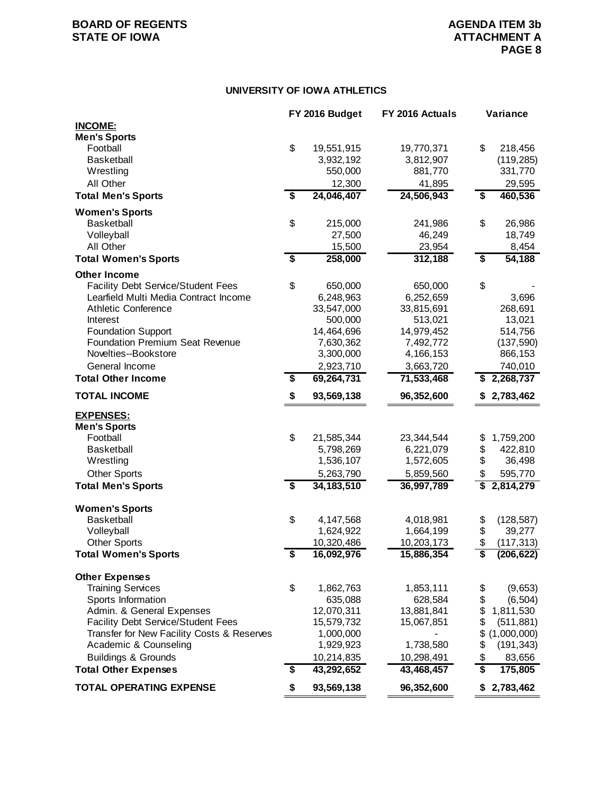# **UNIVERSITY OF IOWA ATHLETICS**

|                                            |                                      | FY 2016 Budget | FY 2016 Actuals | Variance          |
|--------------------------------------------|--------------------------------------|----------------|-----------------|-------------------|
| <b>INCOME:</b>                             |                                      |                |                 |                   |
| <b>Men's Sports</b>                        |                                      |                |                 |                   |
| Football                                   | \$                                   | 19,551,915     | 19,770,371      | \$<br>218,456     |
| <b>Basketball</b>                          |                                      | 3,932,192      | 3,812,907       | (119, 285)        |
| Wrestling                                  |                                      | 550,000        | 881,770         | 331,770           |
| All Other                                  |                                      | 12,300         | 41,895          | 29,595            |
| <b>Total Men's Sports</b>                  | $\overline{\boldsymbol{\mathsf{s}}}$ | 24,046,407     | 24,506,943      | \$<br>460,536     |
| <b>Women's Sports</b>                      |                                      |                |                 |                   |
| <b>Basketball</b>                          | \$                                   | 215,000        | 241,986         | \$<br>26,986      |
| Volleyball                                 |                                      | 27,500         | 46,249          | 18,749            |
|                                            |                                      |                |                 |                   |
| All Other                                  | \$                                   | 15,500         | 23,954          | 8,454<br>54, 188  |
| <b>Total Women's Sports</b>                |                                      | 258,000        | 312,188         | \$                |
| <b>Other Income</b>                        |                                      |                |                 |                   |
| <b>Facility Debt Service/Student Fees</b>  | \$                                   | 650,000        | 650,000         | \$                |
| Learfield Multi Media Contract Income      |                                      | 6,248,963      | 6,252,659       | 3,696             |
| <b>Athletic Conference</b>                 |                                      | 33,547,000     | 33,815,691      | 268,691           |
| Interest                                   |                                      | 500,000        | 513,021         | 13,021            |
| <b>Foundation Support</b>                  |                                      | 14,464,696     | 14,979,452      | 514,756           |
| <b>Foundation Premium Seat Revenue</b>     |                                      | 7,630,362      | 7,492,772       | (137, 590)        |
| Novelties--Bookstore                       |                                      | 3,300,000      | 4,166,153       | 866,153           |
| General Income                             |                                      | 2,923,710      | 3,663,720       | 740,010           |
| <b>Total Other Income</b>                  | \$                                   | 69,264,731     | 71,533,468      | \$<br>2,268,737   |
| <b>TOTAL INCOME</b>                        | \$                                   | 93,569,138     | 96,352,600      | \$2,783,462       |
| <b>EXPENSES:</b>                           |                                      |                |                 |                   |
| <b>Men's Sports</b>                        |                                      |                |                 |                   |
| Football                                   | \$                                   | 21,585,344     | 23,344,544      | \$<br>1,759,200   |
| <b>Basketball</b>                          |                                      | 5,798,269      | 6,221,079       | \$<br>422,810     |
| Wrestling                                  |                                      | 1,536,107      | 1,572,605       | \$<br>36,498      |
|                                            |                                      |                |                 |                   |
| <b>Other Sports</b>                        |                                      | 5,263,790      | 5,859,560       | \$<br>595,770     |
| <b>Total Men's Sports</b>                  | \$                                   | 34, 183, 510   | 36,997,789      | 2,814,279         |
| <b>Women's Sports</b>                      |                                      |                |                 |                   |
| <b>Basketball</b>                          | \$                                   | 4,147,568      | 4,018,981       | \$<br>(128, 587)  |
| Volleyball                                 |                                      | 1,624,922      | 1,664,199       | \$<br>39,277      |
| <b>Other Sports</b>                        |                                      | 10,320,486     | 10,203,173      | \$<br>(117, 313)  |
| <b>Total Women's Sports</b>                | \$                                   | 16,092,976     | 15,886,354      | \$<br>(206, 622)  |
|                                            |                                      |                |                 |                   |
| <b>Other Expenses</b>                      |                                      |                |                 |                   |
| <b>Training Services</b>                   | \$                                   | 1,862,763      | 1,853,111       | \$<br>(9,653)     |
| Sports Information                         |                                      | 635,088        | 628,584         | \$<br>(6, 504)    |
| Admin. & General Expenses                  |                                      | 12,070,311     | 13,881,841      | \$<br>1,811,530   |
| <b>Facility Debt Service/Student Fees</b>  |                                      | 15,579,732     | 15,067,851      | \$<br>(511, 881)  |
| Transfer for New Facility Costs & Reserves |                                      | 1,000,000      |                 | \$<br>(1,000,000) |
| Academic & Counseling                      |                                      | 1,929,923      | 1,738,580       | \$<br>(191, 343)  |
| <b>Buildings &amp; Grounds</b>             |                                      | 10,214,835     | 10,298,491      | \$<br>83,656      |
| <b>Total Other Expenses</b>                | \$                                   | 43,292,652     | 43,468,457      | \$<br>175,805     |
| <b>TOTAL OPERATING EXPENSE</b>             | \$                                   | 93,569,138     | 96,352,600      | \$2,783,462       |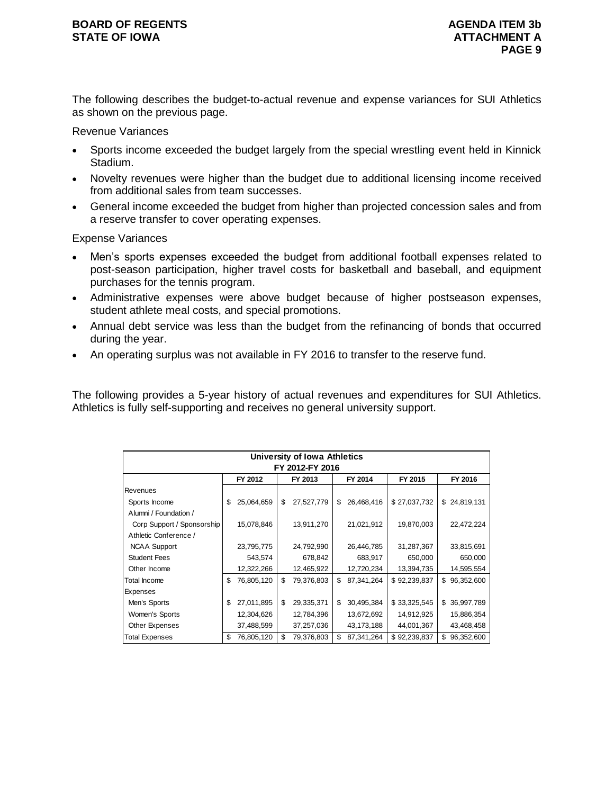# **BOARD OF REGENTS AGENUS AGENDA ITEM 3b STATE OF IOWA ATTACHMENT A**

The following describes the budget-to-actual revenue and expense variances for SUI Athletics as shown on the previous page.

Revenue Variances

- Sports income exceeded the budget largely from the special wrestling event held in Kinnick Stadium.
- Novelty revenues were higher than the budget due to additional licensing income received from additional sales from team successes.
- General income exceeded the budget from higher than projected concession sales and from a reserve transfer to cover operating expenses.

Expense Variances

- Men's sports expenses exceeded the budget from additional football expenses related to post-season participation, higher travel costs for basketball and baseball, and equipment purchases for the tennis program.
- Administrative expenses were above budget because of higher postseason expenses, student athlete meal costs, and special promotions.
- Annual debt service was less than the budget from the refinancing of bonds that occurred during the year.
- An operating surplus was not available in FY 2016 to transfer to the reserve fund.

The following provides a 5-year history of actual revenues and expenditures for SUI Athletics. Athletics is fully self-supporting and receives no general university support.

|                            | University of Iowa Athletics             |            |    |            |    |              |              |                  |  |  |  |
|----------------------------|------------------------------------------|------------|----|------------|----|--------------|--------------|------------------|--|--|--|
| FY 2012-FY 2016            |                                          |            |    |            |    |              |              |                  |  |  |  |
|                            | FY 2013<br>FY 2014<br>FY 2015<br>FY 2012 |            |    |            |    |              |              |                  |  |  |  |
| Revenues                   |                                          |            |    |            |    |              |              |                  |  |  |  |
| Sports Income              | \$                                       | 25,064,659 | \$ | 27,527,779 | \$ | 26,468,416   | \$27,037,732 | 24,819,131<br>\$ |  |  |  |
| Alumni / Foundation /      |                                          |            |    |            |    |              |              |                  |  |  |  |
| Corp Support / Sponsorship |                                          | 15,078,846 |    | 13,911,270 |    | 21,021,912   | 19,870,003   | 22,472,224       |  |  |  |
| Athletic Conference /      |                                          |            |    |            |    |              |              |                  |  |  |  |
| <b>NCAA Support</b>        |                                          | 23,795,775 |    | 24,792,990 |    | 26,446,785   | 31,287,367   | 33,815,691       |  |  |  |
| <b>Student Fees</b>        |                                          | 543,574    |    | 678,842    |    | 683,917      | 650,000      | 650,000          |  |  |  |
| Other Income               |                                          | 12,322,266 |    | 12,465,922 |    | 12,720,234   | 13,394,735   | 14,595,554       |  |  |  |
| Total Income               | \$                                       | 76,805,120 | \$ | 79,376,803 | \$ | 87,341,264   | \$92,239,837 | 96,352,600<br>\$ |  |  |  |
| Expenses                   |                                          |            |    |            |    |              |              |                  |  |  |  |
| Men's Sports               | \$                                       | 27,011,895 | \$ | 29,335,371 | \$ | 30,495,384   | \$33,325,545 | 36,997,789<br>\$ |  |  |  |
| Women's Sports             |                                          | 12,304,626 |    | 12,784,396 |    | 13,672,692   | 14,912,925   | 15,886,354       |  |  |  |
| Other Expenses             |                                          | 37,488,599 |    | 37,257,036 |    | 43, 173, 188 | 44,001,367   | 43,468,458       |  |  |  |
| Total Expenses             | \$                                       | 76,805,120 | \$ | 79,376,803 | \$ | 87,341,264   | \$92,239,837 | \$<br>96,352,600 |  |  |  |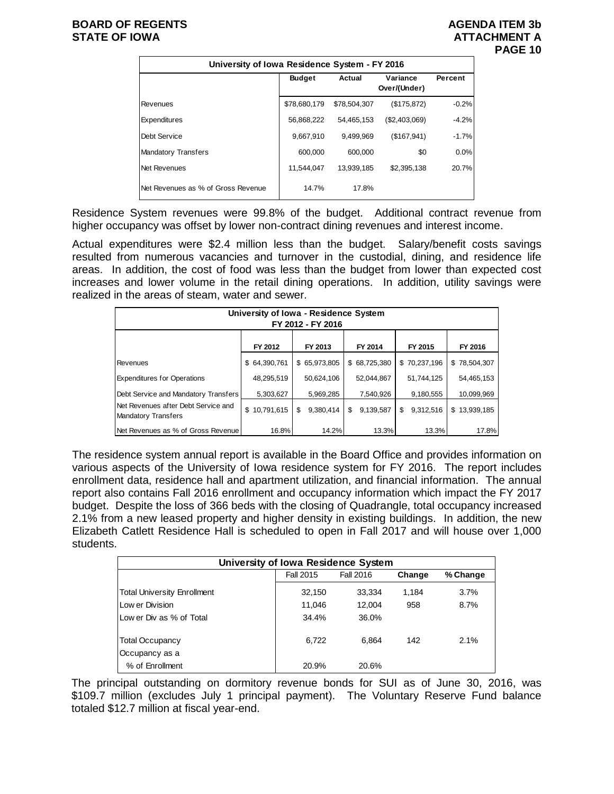# **BOARD OF REGENTS AGENUS AGENDA ITEM 3b STATE OF IOWA ATTACHMENT A**

| University of Iowa Residence System - FY 2016 |               |              |                          |         |  |  |  |  |  |  |  |
|-----------------------------------------------|---------------|--------------|--------------------------|---------|--|--|--|--|--|--|--|
|                                               | <b>Budget</b> | Actual       | Variance<br>Over/(Under) | Percent |  |  |  |  |  |  |  |
| Revenues                                      | \$78,680,179  | \$78,504,307 | (\$175,872)              | $-0.2%$ |  |  |  |  |  |  |  |
| Expenditures                                  | 56,868,222    | 54,465,153   | (\$2,403,069)            | $-4.2%$ |  |  |  |  |  |  |  |
| Debt Service                                  | 9,667,910     | 9,499,969    | (\$167,941)              | $-1.7%$ |  |  |  |  |  |  |  |
| <b>Mandatory Transfers</b>                    | 600.000       | 600.000      | \$0                      | 0.0%    |  |  |  |  |  |  |  |
| Net Revenues                                  | 11.544.047    | 13,939,185   | \$2,395,138              | 20.7%   |  |  |  |  |  |  |  |
| Net Revenues as % of Gross Revenue            | 14.7%         | 17.8%        |                          |         |  |  |  |  |  |  |  |

Residence System revenues were 99.8% of the budget. Additional contract revenue from higher occupancy was offset by lower non-contract dining revenues and interest income.

Actual expenditures were \$2.4 million less than the budget. Salary/benefit costs savings resulted from numerous vacancies and turnover in the custodial, dining, and residence life areas. In addition, the cost of food was less than the budget from lower than expected cost increases and lower volume in the retail dining operations. In addition, utility savings were realized in the areas of steam, water and sewer.

| University of Iowa - Residence System<br>FY 2012 - FY 2016        |              |                 |                 |                 |              |  |  |  |  |
|-------------------------------------------------------------------|--------------|-----------------|-----------------|-----------------|--------------|--|--|--|--|
|                                                                   | FY 2012      | FY 2013         | FY 2014         | FY 2015         | FY 2016      |  |  |  |  |
| Revenues                                                          | \$64,390,761 | \$65,973,805    | \$68,725,380    | \$70,237,196    | \$78,504,307 |  |  |  |  |
| <b>Expenditures for Operations</b>                                | 48,295,519   | 50,624,106      | 52,044,867      | 51,744,125      | 54,465,153   |  |  |  |  |
| Debt Service and Mandatory Transfers                              | 5,303,627    | 5,969,285       | 7,540,926       | 9,180,555       | 10,099,969   |  |  |  |  |
| Net Revenues after Debt Service and<br><b>Mandatory Transfers</b> | \$10,791,615 | 9.380.414<br>\$ | \$<br>9,139,587 | \$<br>9,312,516 | \$13.939.185 |  |  |  |  |
| Net Revenues as % of Gross Revenue                                | 16.8%        | 14.2%           | 13.3%           | 13.3%           | 17.8%        |  |  |  |  |

The residence system annual report is available in the Board Office and provides information on various aspects of the University of Iowa residence system for FY 2016. The report includes enrollment data, residence hall and apartment utilization, and financial information. The annual report also contains Fall 2016 enrollment and occupancy information which impact the FY 2017 budget. Despite the loss of 366 beds with the closing of Quadrangle, total occupancy increased 2.1% from a new leased property and higher density in existing buildings. In addition, the new Elizabeth Catlett Residence Hall is scheduled to open in Fall 2017 and will house over 1,000 students.

| University of Iowa Residence System |           |           |        |          |  |  |  |  |  |  |
|-------------------------------------|-----------|-----------|--------|----------|--|--|--|--|--|--|
|                                     | Fall 2015 | Fall 2016 | Change | % Change |  |  |  |  |  |  |
| <b>Total University Enrollment</b>  | 32,150    | 33,334    | 1.184  | 3.7%     |  |  |  |  |  |  |
| Low er Division                     | 11,046    | 12.004    | 958    | 8.7%     |  |  |  |  |  |  |
| Low er Div as % of Total            | 34.4%     | 36.0%     |        |          |  |  |  |  |  |  |
| <b>Total Occupancy</b>              | 6.722     | 6.864     | 142    | 2.1%     |  |  |  |  |  |  |
| Occupancy as a                      |           |           |        |          |  |  |  |  |  |  |
| % of Enrollment                     | 20.9%     | 20.6%     |        |          |  |  |  |  |  |  |

The principal outstanding on dormitory revenue bonds for SUI as of June 30, 2016, was \$109.7 million (excludes July 1 principal payment). The Voluntary Reserve Fund balance totaled \$12.7 million at fiscal year-end.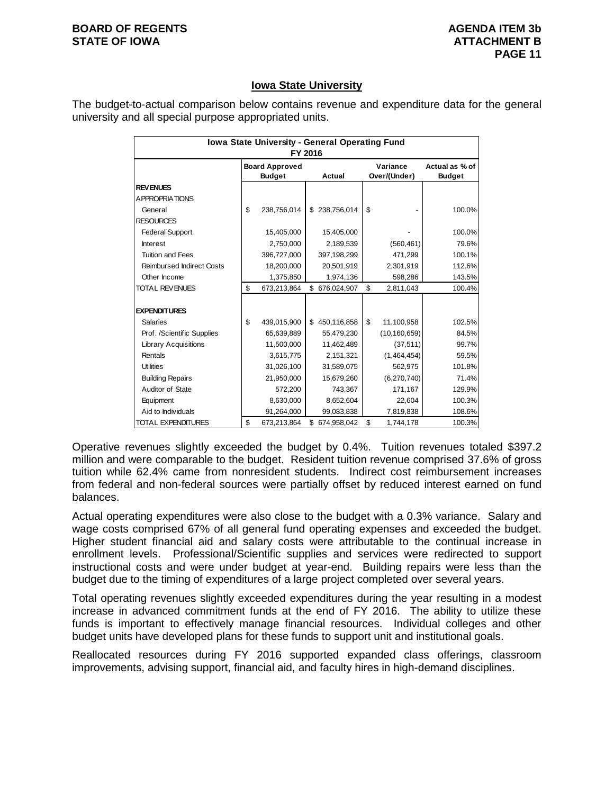#### **BOARD OF REGENTS AGENUM AGENDA ITEM 3b STATE OF IOWA ATTACHMENT B**

# **Iowa State University**

The budget-to-actual comparison below contains revenue and expenditure data for the general university and all special purpose appropriated units.

| Iowa State University - General Operating Fund<br>FY 2016 |    |                                        |    |               |    |                          |                                 |  |  |
|-----------------------------------------------------------|----|----------------------------------------|----|---------------|----|--------------------------|---------------------------------|--|--|
|                                                           |    | <b>Board Approved</b><br><b>Budget</b> |    | Actual        |    | Variance<br>Over/(Under) | Actual as % of<br><b>Budget</b> |  |  |
| <b>REVENUES</b>                                           |    |                                        |    |               |    |                          |                                 |  |  |
| <b>APPROPRIATIONS</b>                                     |    |                                        |    |               |    |                          |                                 |  |  |
| General                                                   | \$ | 238,756,014                            | \$ | 238,756,014   | \$ |                          | 100.0%                          |  |  |
| <b>RESOURCES</b>                                          |    |                                        |    |               |    |                          |                                 |  |  |
| <b>Federal Support</b>                                    |    | 15,405,000                             |    | 15,405,000    |    |                          | 100.0%                          |  |  |
| Interest                                                  |    | 2,750,000                              |    | 2,189,539     |    | (560, 461)               | 79.6%                           |  |  |
| <b>Tuition and Fees</b>                                   |    | 396,727,000                            |    | 397,198,299   |    | 471,299                  | 100.1%                          |  |  |
| <b>Reimbursed Indirect Costs</b>                          |    | 18,200,000                             |    | 20,501,919    |    | 2,301,919                | 112.6%                          |  |  |
| Other Income                                              |    | 1,375,850                              |    | 1,974,136     |    | 598,286                  | 143.5%                          |  |  |
| <b>TOTAL REVENUES</b>                                     | \$ | 673,213,864                            |    | \$676,024,907 | \$ | 2,811,043                | 100.4%                          |  |  |
|                                                           |    |                                        |    |               |    |                          |                                 |  |  |
| <b>EXPENDITURES</b>                                       |    |                                        |    |               |    |                          |                                 |  |  |
| <b>Salaries</b>                                           | \$ | 439,015,900                            |    | \$450,116,858 | \$ | 11,100,958               | 102.5%                          |  |  |
| Prof. /Scientific Supplies                                |    | 65,639,889                             |    | 55,479,230    |    | (10, 160, 659)           | 84.5%                           |  |  |
| <b>Library Acquisitions</b>                               |    | 11,500,000                             |    | 11,462,489    |    | (37, 511)                | 99.7%                           |  |  |
| Rentals                                                   |    | 3,615,775                              |    | 2,151,321     |    | (1,464,454)              | 59.5%                           |  |  |
| <b>Utilities</b>                                          |    | 31,026,100                             |    | 31,589,075    |    | 562,975                  | 101.8%                          |  |  |
| <b>Building Repairs</b>                                   |    | 21,950,000                             |    | 15,679,260    |    | (6,270,740)              | 71.4%                           |  |  |
| Auditor of State                                          |    | 572,200                                |    | 743,367       |    | 171,167                  | 129.9%                          |  |  |
| Equipment                                                 |    | 8,630,000                              |    | 8,652,604     |    | 22,604                   | 100.3%                          |  |  |
| Aid to Individuals                                        |    | 91,264,000                             |    | 99,083,838    |    | 7,819,838                | 108.6%                          |  |  |
| TOTAL EXPENDITURES                                        | \$ | 673,213,864                            | \$ | 674,958,042   | \$ | 1,744,178                | 100.3%                          |  |  |

Operative revenues slightly exceeded the budget by 0.4%. Tuition revenues totaled \$397.2 million and were comparable to the budget. Resident tuition revenue comprised 37.6% of gross tuition while 62.4% came from nonresident students. Indirect cost reimbursement increases from federal and non-federal sources were partially offset by reduced interest earned on fund balances.

Actual operating expenditures were also close to the budget with a 0.3% variance. Salary and wage costs comprised 67% of all general fund operating expenses and exceeded the budget. Higher student financial aid and salary costs were attributable to the continual increase in enrollment levels. Professional/Scientific supplies and services were redirected to support instructional costs and were under budget at year-end. Building repairs were less than the budget due to the timing of expenditures of a large project completed over several years.

Total operating revenues slightly exceeded expenditures during the year resulting in a modest increase in advanced commitment funds at the end of FY 2016. The ability to utilize these funds is important to effectively manage financial resources. Individual colleges and other budget units have developed plans for these funds to support unit and institutional goals.

Reallocated resources during FY 2016 supported expanded class offerings, classroom improvements, advising support, financial aid, and faculty hires in high-demand disciplines.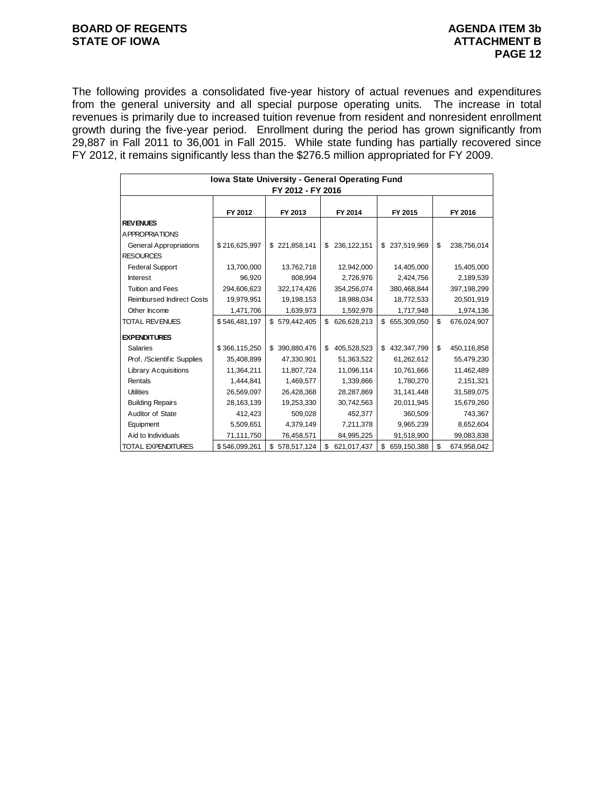# **BOARD OF REGENTS AGENUM AGENDA ITEM 3b STATE OF IOWA ATTACHMENT B**

The following provides a consolidated five-year history of actual revenues and expenditures from the general university and all special purpose operating units. The increase in total revenues is primarily due to increased tuition revenue from resident and nonresident enrollment growth during the five-year period. Enrollment during the period has grown significantly from 29,887 in Fall 2011 to 36,001 in Fall 2015. While state funding has partially recovered since FY 2012, it remains significantly less than the \$276.5 million appropriated for FY 2009.

| Iowa State University - General Operating Fund |                   |                   |                     |                   |                   |  |  |  |  |  |
|------------------------------------------------|-------------------|-------------------|---------------------|-------------------|-------------------|--|--|--|--|--|
|                                                | FY 2012 - FY 2016 |                   |                     |                   |                   |  |  |  |  |  |
|                                                |                   |                   |                     |                   |                   |  |  |  |  |  |
|                                                | FY 2012           | FY 2013           | FY 2014             | FY 2015           | FY 2016           |  |  |  |  |  |
| <b>REVENUES</b>                                |                   |                   |                     |                   |                   |  |  |  |  |  |
| A PPROPRIATIONS                                |                   |                   |                     |                   |                   |  |  |  |  |  |
| <b>General Appropriations</b>                  | \$216,625,997     | \$221,858,141     | 236, 122, 151<br>\$ | 237,519,969<br>\$ | \$<br>238,756,014 |  |  |  |  |  |
| <b>RESOURCES</b>                               |                   |                   |                     |                   |                   |  |  |  |  |  |
| <b>Federal Support</b>                         | 13,700,000        | 13,762,718        | 12,942,000          | 14,405,000        | 15,405,000        |  |  |  |  |  |
| <b>Interest</b>                                | 96,920            | 808,994           | 2,726,976           | 2,424,756         | 2,189,539         |  |  |  |  |  |
| <b>Tuition and Fees</b>                        | 294,606,623       | 322,174,426       | 354,256,074         | 380,468,844       | 397,198,299       |  |  |  |  |  |
| <b>Reimbursed Indirect Costs</b>               | 19,979,951        | 19,198,153        | 18,988,034          | 18,772,533        | 20,501,919        |  |  |  |  |  |
| Other Income                                   | 1,471,706         | 1,639,973         | 1,592,978           | 1,717,948         | 1,974,136         |  |  |  |  |  |
| <b>TOTAL REVENUES</b>                          | \$546,481,197     | \$579,442,405     | \$<br>626,628,213   | \$655,309,050     | \$<br>676,024,907 |  |  |  |  |  |
| <b>EXPENDITURES</b>                            |                   |                   |                     |                   |                   |  |  |  |  |  |
| <b>Salaries</b>                                | \$366,115,250     | 390,880,476<br>\$ | \$<br>405,528,523   | \$<br>432,347,799 | \$<br>450,116,858 |  |  |  |  |  |
| Prof. /Scientific Supplies                     | 35,408,899        | 47,330,901        | 51,363,522          | 61,262,612        | 55,479,230        |  |  |  |  |  |
| <b>Library Acquisitions</b>                    | 11,364,211        | 11,807,724        | 11,096,114          | 10,761,666        | 11,462,489        |  |  |  |  |  |
| Rentals                                        | 1,444,841         | 1,469,577         | 1,339,866           | 1,780,270         | 2,151,321         |  |  |  |  |  |
| <b>Utilities</b>                               | 26,569,097        | 26,428,368        | 28,287,869          | 31,141,448        | 31,589,075        |  |  |  |  |  |
| <b>Building Repairs</b>                        | 28,163,139        | 19,253,330        | 30,742,563          | 20,011,945        | 15,679,260        |  |  |  |  |  |
| Auditor of State                               | 412,423           | 509,028           | 452,377             | 360,509           | 743,367           |  |  |  |  |  |
| Equipment                                      | 5,509,651         | 4,379,149         | 7,211,378           | 9,965,239         | 8,652,604         |  |  |  |  |  |
| Aid to Individuals                             | 71,111,750        | 76,458,571        | 84,995,225          | 91,518,900        | 99,083,838        |  |  |  |  |  |
| <b>TOTAL EXPENDITURES</b>                      | \$546,099,261     | \$<br>578,517,124 | \$<br>621,017,437   | \$<br>659,150,388 | \$<br>674,958,042 |  |  |  |  |  |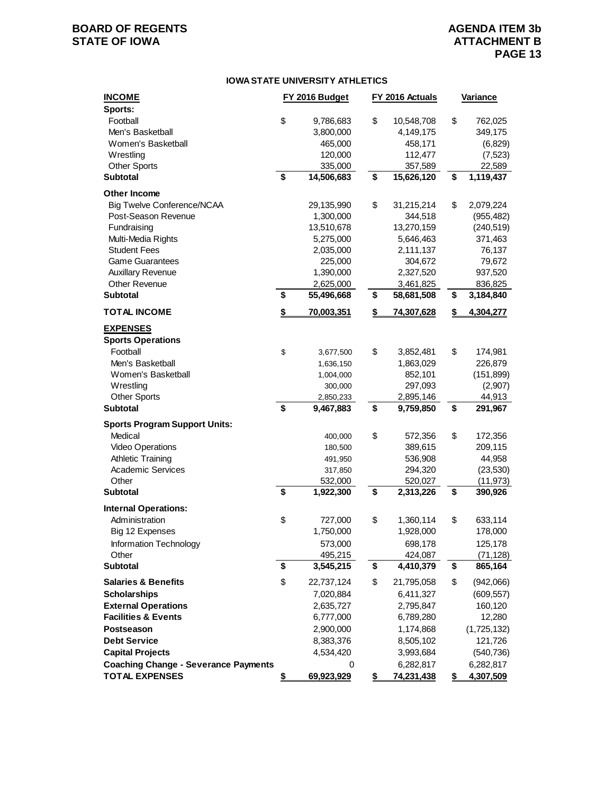# **BOARD OF REGENTS AGENDA ITEM 3b STATE OF IOWA**

#### **IOWA STATE UNIVERSITY ATHLETICS**

| <b>INCOME</b>                               | FY 2016 Budget   |    | FY 2016 Actuals   | <b>Variance</b>        |
|---------------------------------------------|------------------|----|-------------------|------------------------|
| Sports:                                     |                  |    |                   |                        |
| Football                                    | \$<br>9,786,683  | \$ | 10,548,708        | \$<br>762,025          |
| Men's Basketball                            | 3,800,000        |    | 4,149,175         | 349,175                |
| Women's Basketball                          | 465,000          |    | 458,171           | (6, 829)               |
| Wrestling                                   | 120,000          |    | 112,477           | (7, 523)               |
| <b>Other Sports</b>                         | 335,000          |    | 357,589           | 22,589                 |
| <b>Subtotal</b>                             | \$<br>14,506,683 | \$ | 15,626,120        | \$<br>1,119,437        |
| <b>Other Income</b>                         |                  |    |                   |                        |
| Big Twelve Conference/NCAA                  | 29,135,990       | \$ | 31,215,214        | \$<br>2,079,224        |
| Post-Season Revenue                         | 1,300,000        |    | 344,518           | (955, 482)             |
| Fundraising                                 | 13,510,678       |    | 13,270,159        | (240, 519)             |
| Multi-Media Rights                          | 5,275,000        |    | 5,646,463         | 371,463                |
| <b>Student Fees</b>                         | 2,035,000        |    | 2,111,137         | 76,137                 |
| <b>Game Guarantees</b>                      | 225,000          |    | 304,672           | 79,672                 |
| <b>Auxillary Revenue</b>                    | 1,390,000        |    | 2,327,520         | 937,520                |
| Other Revenue                               | 2,625,000        |    | 3,461,825         | 836,825                |
| <b>Subtotal</b>                             | \$<br>55,496,668 | \$ | 58,681,508        | \$<br>3,184,840        |
| <b>TOTAL INCOME</b>                         | \$<br>70,003,351 | \$ | <u>74,307,628</u> | \$<br><u>4,304,277</u> |
| <b>EXPENSES</b>                             |                  |    |                   |                        |
| <b>Sports Operations</b>                    |                  |    |                   |                        |
| Football                                    | \$<br>3,677,500  | \$ | 3,852,481         | \$<br>174,981          |
| Men's Basketball                            | 1,636,150        |    | 1,863,029         | 226,879                |
| Women's Basketball                          | 1,004,000        |    | 852,101           | (151, 899)             |
| Wrestling                                   | 300,000          |    | 297,093           | (2,907)                |
| <b>Other Sports</b>                         | 2,850,233        |    | 2,895,146         | 44,913                 |
| <b>Subtotal</b>                             | \$<br>9,467,883  | \$ | 9,759,850         | \$<br>291,967          |
| <b>Sports Program Support Units:</b>        |                  |    |                   |                        |
| Medical                                     | 400,000          | \$ | 572,356           | \$<br>172,356          |
| Video Operations                            | 180,500          |    | 389,615           | 209,115                |
| <b>Athletic Training</b>                    | 491,950          |    | 536,908           | 44,958                 |
| <b>Academic Services</b>                    | 317,850          |    | 294,320           | (23, 530)              |
| Other                                       | 532,000          |    | 520,027           | (11, 973)              |
| <b>Subtotal</b>                             | \$<br>1,922,300  | \$ | 2,313,226         | \$<br>390,926          |
| <b>Internal Operations:</b>                 |                  |    |                   |                        |
| Administration                              | \$<br>727,000    | \$ | 1,360,114         | \$<br>633,114          |
| Big 12 Expenses                             | 1,750,000        |    | 1,928,000         | 178,000                |
| Information Technology                      | 573,000          |    | 698,178           | 125,178                |
| Other                                       | 495,215          |    | 424,087           | (71, 128)              |
| <b>Subtotal</b>                             | \$<br>3,545,215  | \$ | 4,410,379         | \$<br>865,164          |
| <b>Salaries &amp; Benefits</b>              | \$<br>22,737,124 | \$ | 21,795,058        | \$<br>(942,066)        |
| <b>Scholarships</b>                         | 7,020,884        |    | 6,411,327         | (609, 557)             |
| <b>External Operations</b>                  | 2,635,727        |    | 2,795,847         | 160,120                |
| <b>Facilities &amp; Events</b>              | 6,777,000        |    | 6,789,280         | 12,280                 |
|                                             |                  |    |                   |                        |
| Postseason                                  | 2,900,000        |    | 1,174,868         | (1,725,132)            |
| <b>Debt Service</b>                         | 8,383,376        |    | 8,505,102         | 121,726                |
| <b>Capital Projects</b>                     | 4,534,420        |    | 3,993,684         | (540, 736)             |
| <b>Coaching Change - Severance Payments</b> | 0                |    | 6,282,817         | 6,282,817              |
| <b>TOTAL EXPENSES</b>                       | \$<br>69,923,929 | S  | 74,231,438        | \$<br>4,307,509        |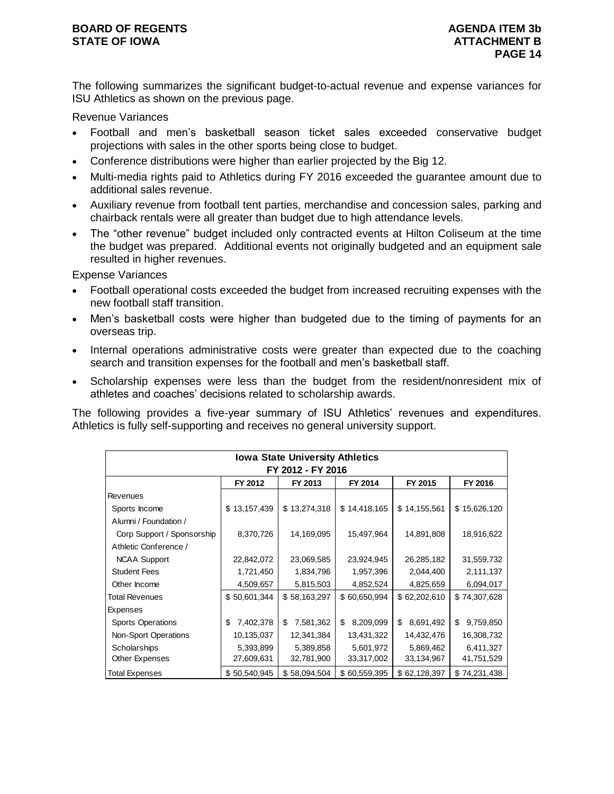## **BOARD OF REGENTS AGENUM AGENUM AGENUM AGENUM STATE OF IOWA ATTACHMENT B**

The following summarizes the significant budget-to-actual revenue and expense variances for ISU Athletics as shown on the previous page.

Revenue Variances

- Football and men's basketball season ticket sales exceeded conservative budget projections with sales in the other sports being close to budget.
- Conference distributions were higher than earlier projected by the Big 12.
- Multi-media rights paid to Athletics during FY 2016 exceeded the guarantee amount due to additional sales revenue.
- Auxiliary revenue from football tent parties, merchandise and concession sales, parking and chairback rentals were all greater than budget due to high attendance levels.
- The "other revenue" budget included only contracted events at Hilton Coliseum at the time the budget was prepared. Additional events not originally budgeted and an equipment sale resulted in higher revenues.

Expense Variances

- Football operational costs exceeded the budget from increased recruiting expenses with the new football staff transition.
- Men's basketball costs were higher than budgeted due to the timing of payments for an overseas trip.
- Internal operations administrative costs were greater than expected due to the coaching search and transition expenses for the football and men's basketball staff.
- Scholarship expenses were less than the budget from the resident/nonresident mix of athletes and coaches' decisions related to scholarship awards.

The following provides a five-year summary of ISU Athletics' revenues and expenditures. Athletics is fully self-supporting and receives no general university support.

| <b>Iowa State University Athletics</b>              |                 |                 |                 |                 |                 |  |  |  |  |  |
|-----------------------------------------------------|-----------------|-----------------|-----------------|-----------------|-----------------|--|--|--|--|--|
| FY 2012 - FY 2016                                   |                 |                 |                 |                 |                 |  |  |  |  |  |
| FY 2013<br>FY 2014<br>FY 2012<br>FY 2015<br>FY 2016 |                 |                 |                 |                 |                 |  |  |  |  |  |
| Revenues                                            |                 |                 |                 |                 |                 |  |  |  |  |  |
| Sports Income                                       | \$13,157,439    | \$13,274,318    | \$14,418,165    | \$14,155,561    | \$15,626,120    |  |  |  |  |  |
| Alumni / Foundation /                               |                 |                 |                 |                 |                 |  |  |  |  |  |
| Corp Support / Sponsorship                          | 8,370,726       | 14,169,095      | 15,497,964      | 14,891,808      | 18,916,622      |  |  |  |  |  |
| Athletic Conference /                               |                 |                 |                 |                 |                 |  |  |  |  |  |
| <b>NCAA Support</b>                                 | 22,842,072      | 23,069,585      | 23,924,945      | 26,285,182      | 31,559,732      |  |  |  |  |  |
| <b>Student Fees</b>                                 | 1,721,450       | 1,834,796       | 1,957,396       | 2,044,400       | 2,111,137       |  |  |  |  |  |
| Other Income                                        | 4,509,657       | 5,815,503       | 4,852,524       | 4,825,659       | 6,094,017       |  |  |  |  |  |
| <b>Total Revenues</b>                               | \$50,601,344    | \$58,163,297    | \$60,650,994    | \$62,202,610    | \$74,307,628    |  |  |  |  |  |
| Expenses                                            |                 |                 |                 |                 |                 |  |  |  |  |  |
| <b>Sports Operations</b>                            | 7,402,378<br>\$ | 7,581,362<br>\$ | 8,209,099<br>\$ | \$<br>8,691,492 | 9,759,850<br>\$ |  |  |  |  |  |
| Non-Sport Operations                                | 10,135,037      | 12,341,384      | 13,431,322      | 14,432,476      | 16,308,732      |  |  |  |  |  |
| Scholarships                                        | 5,393,899       | 5,389,858       | 5,601,972       | 5,869,462       | 6,411,327       |  |  |  |  |  |
| Other Expenses                                      | 27,609,631      | 32,781,900      | 33,317,002      | 33,134,967      | 41,751,529      |  |  |  |  |  |
| Total Expenses                                      | \$50,540,945    | \$58,094,504    | \$60,559,395    | \$62,128,397    | \$74,231,438    |  |  |  |  |  |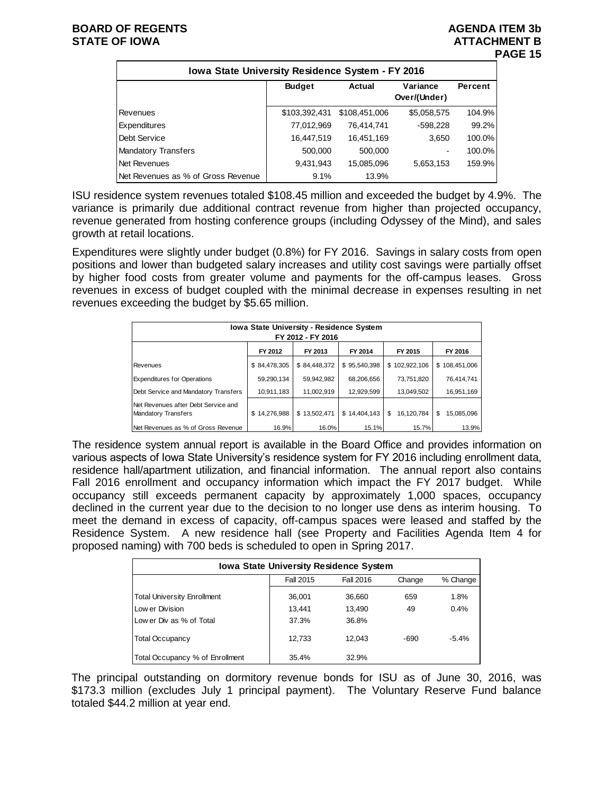| Iowa State University Residence System - FY 2016 |               |               |                          |         |  |  |  |  |  |
|--------------------------------------------------|---------------|---------------|--------------------------|---------|--|--|--|--|--|
|                                                  | <b>Budget</b> | Actual        | Variance<br>Over/(Under) | Percent |  |  |  |  |  |
| Revenues                                         | \$103,392,431 | \$108,451,006 | \$5,058,575              | 104.9%  |  |  |  |  |  |
| Expenditures                                     | 77,012,969    | 76,414,741    | -598,228                 | 99.2%   |  |  |  |  |  |
| Debt Service                                     | 16,447,519    | 16.451.169    | 3,650                    | 100.0%  |  |  |  |  |  |
| <b>Mandatory Transfers</b>                       | 500,000       | 500,000       | $\overline{\phantom{a}}$ | 100.0%  |  |  |  |  |  |
| Net Revenues                                     | 9,431,943     | 15,085,096    | 5,653,153                | 159.9%  |  |  |  |  |  |
| Net Revenues as % of Gross Revenue               | 9.1%          | 13.9%         |                          |         |  |  |  |  |  |

ISU residence system revenues totaled \$108.45 million and exceeded the budget by 4.9%. The variance is primarily due additional contract revenue from higher than projected occupancy, revenue generated from hosting conference groups (including Odyssey of the Mind), and sales growth at retail locations.

Expenditures were slightly under budget (0.8%) for FY 2016. Savings in salary costs from open positions and lower than budgeted salary increases and utility cost savings were partially offset by higher food costs from greater volume and payments for the off-campus leases. Gross revenues in excess of budget coupled with the minimal decrease in expenses resulting in net revenues exceeding the budget by \$5.65 million.

| <b>Iowa State University - Residence System</b><br>FY 2012 - FY 2016 |              |              |              |                  |                  |  |  |  |  |
|----------------------------------------------------------------------|--------------|--------------|--------------|------------------|------------------|--|--|--|--|
| FY 2013<br>FY 2014<br>FY 2015<br>FY 2016<br>FY 2012                  |              |              |              |                  |                  |  |  |  |  |
| Revenues                                                             | \$84,478,305 | \$84,448,372 | \$95,540,398 | \$102,922,106    | \$108,451,006    |  |  |  |  |
| <b>Expenditures for Operations</b>                                   | 59,290,134   | 59.942.982   | 68.206.656   | 73,751,820       | 76.414.741       |  |  |  |  |
| Debt Service and Mandatory Transfers                                 | 10,911,183   | 11,002,919   | 12,929,599   | 13,049,502       | 16,951,169       |  |  |  |  |
| Net Revenues after Debt Service and<br>Mandatory Transfers           | \$14,276,988 | \$13,502,471 | \$14,404,143 | 16,120,784<br>\$ | \$<br>15,085,096 |  |  |  |  |
| Net Revenues as % of Gross Revenue                                   | 16.9%        | 16.0%        | 15.1%        | 15.7%            | 13.9%            |  |  |  |  |

The residence system annual report is available in the Board Office and provides information on various aspects of Iowa State University's residence system for FY 2016 including enrollment data, residence hall/apartment utilization, and financial information. The annual report also contains Fall 2016 enrollment and occupancy information which impact the FY 2017 budget. While occupancy still exceeds permanent capacity by approximately 1,000 spaces, occupancy declined in the current year due to the decision to no longer use dens as interim housing. To meet the demand in excess of capacity, off-campus spaces were leased and staffed by the Residence System. A new residence hall (see Property and Facilities Agenda Item 4 for proposed naming) with 700 beds is scheduled to open in Spring 2017.

| <b>Iowa State University Residence System</b> |           |           |        |          |  |  |  |  |
|-----------------------------------------------|-----------|-----------|--------|----------|--|--|--|--|
|                                               | Fall 2015 | Fall 2016 | Change | % Change |  |  |  |  |
| <b>Total University Enrollment</b>            | 36,001    | 36,660    | 659    | 1.8%     |  |  |  |  |
| Low er Division                               | 13,441    | 13,490    | 49     | 0.4%     |  |  |  |  |
| Low er Div as % of Total                      | 37.3%     | 36.8%     |        |          |  |  |  |  |
| <b>Total Occupancy</b>                        | 12,733    | 12.043    | -690   | $-5.4%$  |  |  |  |  |
| Total Occupancy % of Enrollment               | 35.4%     | 32.9%     |        |          |  |  |  |  |

The principal outstanding on dormitory revenue bonds for ISU as of June 30, 2016, was \$173.3 million (excludes July 1 principal payment). The Voluntary Reserve Fund balance totaled \$44.2 million at year end.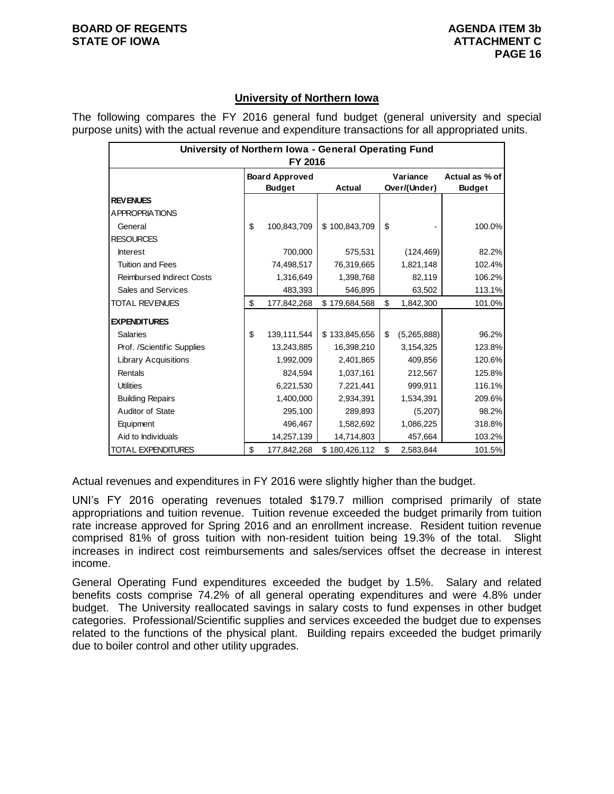# **University of Northern Iowa**

The following compares the FY 2016 general fund budget (general university and special purpose units) with the actual revenue and expenditure transactions for all appropriated units.

| University of Northern Iowa - General Operating Fund<br>FY 2016 |    |                       |               |          |              |                |  |  |  |
|-----------------------------------------------------------------|----|-----------------------|---------------|----------|--------------|----------------|--|--|--|
|                                                                 |    | <b>Board Approved</b> |               | Variance |              | Actual as % of |  |  |  |
|                                                                 |    | <b>Budget</b>         | <b>Actual</b> |          | Over/(Under) | <b>Budget</b>  |  |  |  |
| <b>REVENUES</b>                                                 |    |                       |               |          |              |                |  |  |  |
| A PPROPRIATIONS                                                 |    |                       |               |          |              |                |  |  |  |
| General                                                         | \$ | 100,843,709           | \$100,843,709 | \$       |              | 100.0%         |  |  |  |
| <b>RESOURCES</b>                                                |    |                       |               |          |              |                |  |  |  |
| <b>Interest</b>                                                 |    | 700,000               | 575,531       |          | (124, 469)   | 82.2%          |  |  |  |
| <b>Tuition and Fees</b>                                         |    | 74,498,517            | 76,319,665    |          | 1,821,148    | 102.4%         |  |  |  |
| <b>Reimbursed Indirect Costs</b>                                |    | 1,316,649             | 1,398,768     |          | 82,119       | 106.2%         |  |  |  |
| Sales and Services                                              |    | 483,393               | 546,895       |          | 63,502       | 113.1%         |  |  |  |
| <b>TOTAL REVENUES</b>                                           | \$ | 177,842,268           | \$179,684,568 | \$       | 1,842,300    | 101.0%         |  |  |  |
| <b>EXPENDITURES</b>                                             |    |                       |               |          |              |                |  |  |  |
| <b>Salaries</b>                                                 | \$ | 139,111,544           | \$133,845,656 | \$       | (5,265,888)  | 96.2%          |  |  |  |
| Prof. /Scientific Supplies                                      |    | 13,243,885            | 16,398,210    |          | 3,154,325    | 123.8%         |  |  |  |
| <b>Library Acquisitions</b>                                     |    | 1,992,009             | 2,401,865     |          | 409,856      | 120.6%         |  |  |  |
| Rentals                                                         |    | 824,594               | 1,037,161     |          | 212,567      | 125.8%         |  |  |  |
| <b>Utilities</b>                                                |    | 6,221,530             | 7,221,441     |          | 999,911      | 116.1%         |  |  |  |
| <b>Building Repairs</b>                                         |    | 1,400,000             | 2,934,391     |          | 1,534,391    | 209.6%         |  |  |  |
| Auditor of State                                                |    | 295,100               | 289,893       |          | (5,207)      | 98.2%          |  |  |  |
| Equipment                                                       |    | 496,467               | 1,582,692     |          | 1,086,225    | 318.8%         |  |  |  |
| Aid to Individuals                                              |    | 14,257,139            | 14,714,803    |          | 457,664      | 103.2%         |  |  |  |
| <b>TOTAL EXPENDITURES</b>                                       | \$ | 177,842,268           | \$180,426,112 | \$       | 2,583,844    | 101.5%         |  |  |  |

Actual revenues and expenditures in FY 2016 were slightly higher than the budget.

UNI's FY 2016 operating revenues totaled \$179.7 million comprised primarily of state appropriations and tuition revenue. Tuition revenue exceeded the budget primarily from tuition rate increase approved for Spring 2016 and an enrollment increase. Resident tuition revenue comprised 81% of gross tuition with non-resident tuition being 19.3% of the total. Slight increases in indirect cost reimbursements and sales/services offset the decrease in interest income.

General Operating Fund expenditures exceeded the budget by 1.5%. Salary and related benefits costs comprise 74.2% of all general operating expenditures and were 4.8% under budget. The University reallocated savings in salary costs to fund expenses in other budget categories. Professional/Scientific supplies and services exceeded the budget due to expenses related to the functions of the physical plant. Building repairs exceeded the budget primarily due to boiler control and other utility upgrades.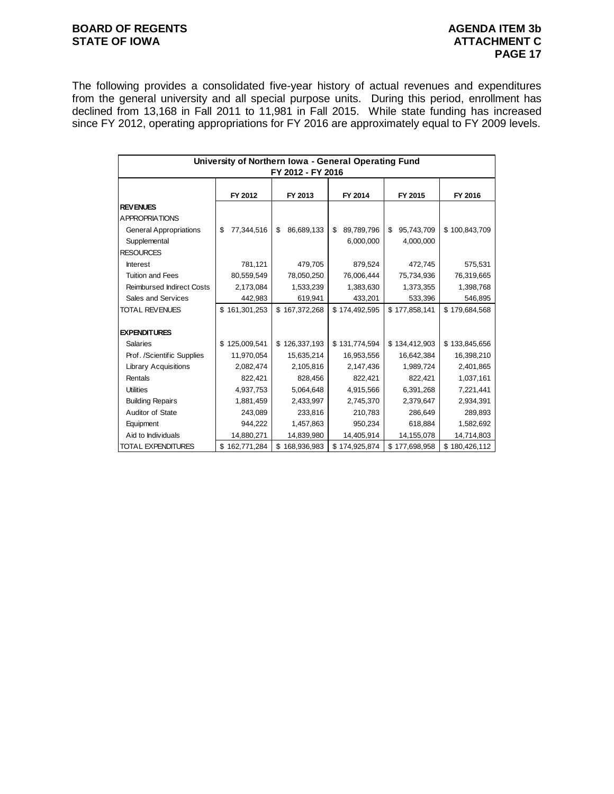# **BOARD OF REGENTS AGENUM AGENDA ITEM 3b STATE OF IOWA ATTACHMENT C**

The following provides a consolidated five-year history of actual revenues and expenditures from the general university and all special purpose units. During this period, enrollment has declined from 13,168 in Fall 2011 to 11,981 in Fall 2015. While state funding has increased since FY 2012, operating appropriations for FY 2016 are approximately equal to FY 2009 levels.

| University of Northern Iowa - General Operating Fund<br>FY 2012 - FY 2016 |                   |                   |                  |                  |               |  |  |  |  |
|---------------------------------------------------------------------------|-------------------|-------------------|------------------|------------------|---------------|--|--|--|--|
|                                                                           | FY 2012           | FY 2013           | FY 2014          | FY 2015          | FY 2016       |  |  |  |  |
| <b>REVENUES</b>                                                           |                   |                   |                  |                  |               |  |  |  |  |
| <b>APPROPRIATIONS</b>                                                     |                   |                   |                  |                  |               |  |  |  |  |
| <b>General Appropriations</b>                                             | \$<br>77,344,516  | 86,689,133<br>\$  | \$<br>89,789,796 | \$<br>95,743,709 | \$100,843,709 |  |  |  |  |
| Supplemental                                                              |                   |                   | 6,000,000        | 4,000,000        |               |  |  |  |  |
| <b>RESOURCES</b>                                                          |                   |                   |                  |                  |               |  |  |  |  |
| <b>Interest</b>                                                           | 781,121           | 479,705           | 879,524          | 472,745          | 575,531       |  |  |  |  |
| <b>Tuition and Fees</b>                                                   | 80,559,549        | 78,050,250        | 76,006,444       | 75,734,936       | 76,319,665    |  |  |  |  |
| <b>Reimbursed Indirect Costs</b>                                          | 2,173,084         | 1,533,239         | 1,383,630        | 1,373,355        | 1,398,768     |  |  |  |  |
| Sales and Services                                                        | 442,983           | 619,941           | 433,201          | 533,396          | 546,895       |  |  |  |  |
| TOTAL REVENUES                                                            | \$161,301,253     | \$167,372,268     | \$174,492,595    | \$177,858,141    | \$179,684,568 |  |  |  |  |
|                                                                           |                   |                   |                  |                  |               |  |  |  |  |
| <b>EXPENDITURES</b>                                                       |                   |                   |                  |                  |               |  |  |  |  |
| <b>Salaries</b>                                                           | \$125,009,541     | \$126,337,193     | \$131,774,594    | \$134,412,903    | \$133,845,656 |  |  |  |  |
| Prof. /Scientific Supplies                                                | 11,970,054        | 15,635,214        | 16,953,556       | 16,642,384       | 16,398,210    |  |  |  |  |
| <b>Library Acquisitions</b>                                               | 2,082,474         | 2,105,816         | 2,147,436        | 1,989,724        | 2,401,865     |  |  |  |  |
| Rentals                                                                   | 822,421           | 828,456           | 822,421          | 822,421          | 1,037,161     |  |  |  |  |
| <b>Utilities</b>                                                          | 4,937,753         | 5,064,648         | 4,915,566        | 6,391,268        | 7,221,441     |  |  |  |  |
| <b>Building Repairs</b>                                                   | 1,881,459         | 2,433,997         | 2,745,370        | 2,379,647        | 2,934,391     |  |  |  |  |
| Auditor of State                                                          | 243,089           | 233,816           | 210,783          | 286,649          | 289,893       |  |  |  |  |
| Equipment                                                                 | 944,222           | 1,457,863         | 950,234          | 618,884          | 1,582,692     |  |  |  |  |
| Aid to Individuals                                                        | 14,880,271        | 14,839,980        | 14,405,914       | 14,155,078       | 14,714,803    |  |  |  |  |
| TOTAL EXPENDITURES                                                        | 162,771,284<br>\$ | 168,936,983<br>\$ | \$174,925,874    | \$177,698,958    | \$180,426,112 |  |  |  |  |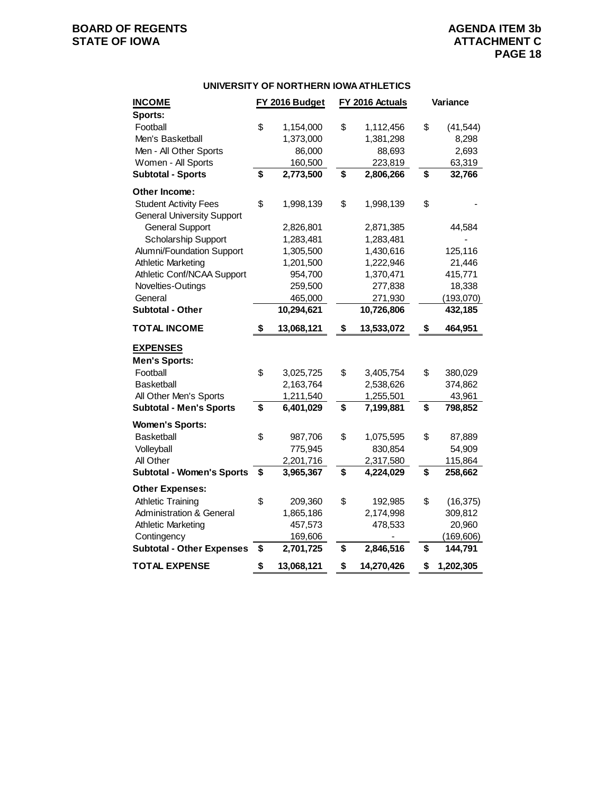#### **UNIVERSITY OF NORTHERN IOWA ATHLETICS**

| <b>INCOME</b>                                | FY 2016 Budget    | FY 2016 Actuals            | Variance        |
|----------------------------------------------|-------------------|----------------------------|-----------------|
| Sports:                                      |                   |                            |                 |
| Football                                     | \$<br>1,154,000   | \$<br>1,112,456            | \$<br>(41, 544) |
| Men's Basketball                             | 1,373,000         | 1,381,298                  | 8,298           |
| Men - All Other Sports<br>Women - All Sports | 86,000<br>160,500 | 88,693                     | 2,693<br>63,319 |
| <b>Subtotal - Sports</b>                     | \$<br>2,773,500   | \$<br>223,819<br>2,806,266 | \$<br>32,766    |
| Other Income:                                |                   |                            |                 |
| <b>Student Activity Fees</b>                 | \$<br>1,998,139   | \$<br>1,998,139            | \$              |
| <b>General University Support</b>            |                   |                            |                 |
| <b>General Support</b>                       | 2,826,801         | 2,871,385                  | 44,584          |
| <b>Scholarship Support</b>                   | 1,283,481         | 1,283,481                  |                 |
| Alumni/Foundation Support                    | 1,305,500         | 1,430,616                  | 125,116         |
| <b>Athletic Marketing</b>                    | 1,201,500         | 1,222,946                  | 21,446          |
| Athletic Conf/NCAA Support                   | 954,700           | 1,370,471                  | 415,771         |
| Novelties-Outings                            | 259,500           | 277,838                    | 18,338          |
| General                                      | 465,000           | 271,930                    | (193, 070)      |
| <b>Subtotal - Other</b>                      | 10,294,621        | 10,726,806                 | 432,185         |
| <b>TOTAL INCOME</b>                          | \$<br>13,068,121  | \$<br>13,533,072           | \$<br>464,951   |
| <b>EXPENSES</b>                              |                   |                            |                 |
| <b>Men's Sports:</b>                         |                   |                            |                 |
| Football                                     | \$<br>3,025,725   | \$<br>3,405,754            | \$<br>380,029   |
| <b>Basketball</b>                            | 2,163,764         | 2,538,626                  | 374,862         |
| All Other Men's Sports                       | 1,211,540         | 1,255,501                  | 43,961          |
| <b>Subtotal - Men's Sports</b>               | \$<br>6,401,029   | \$<br>7,199,881            | \$<br>798,852   |
| <b>Women's Sports:</b>                       |                   |                            |                 |
| <b>Basketball</b>                            | \$<br>987,706     | \$<br>1,075,595            | \$<br>87,889    |
| Volleyball                                   | 775,945           | 830,854                    | 54,909          |
| All Other                                    | 2,201,716         | 2,317,580                  | 115,864         |
| <b>Subtotal - Women's Sports</b>             | \$<br>3,965,367   | \$<br>4,224,029            | \$<br>258,662   |
| <b>Other Expenses:</b>                       |                   |                            |                 |
| <b>Athletic Training</b>                     | \$<br>209,360     | \$<br>192,985              | \$<br>(16, 375) |
| Administration & General                     | 1,865,186         | 2,174,998                  | 309,812         |
| <b>Athletic Marketing</b>                    | 457,573           | 478,533                    | 20,960          |
| Contingency                                  | 169,606           |                            | (169, 606)      |
| <b>Subtotal - Other Expenses</b>             | \$<br>2,701,725   | \$<br>2,846,516            | \$<br>144,791   |
| <b>TOTAL EXPENSE</b>                         | \$<br>13,068,121  | \$<br>14,270,426           | \$<br>1,202,305 |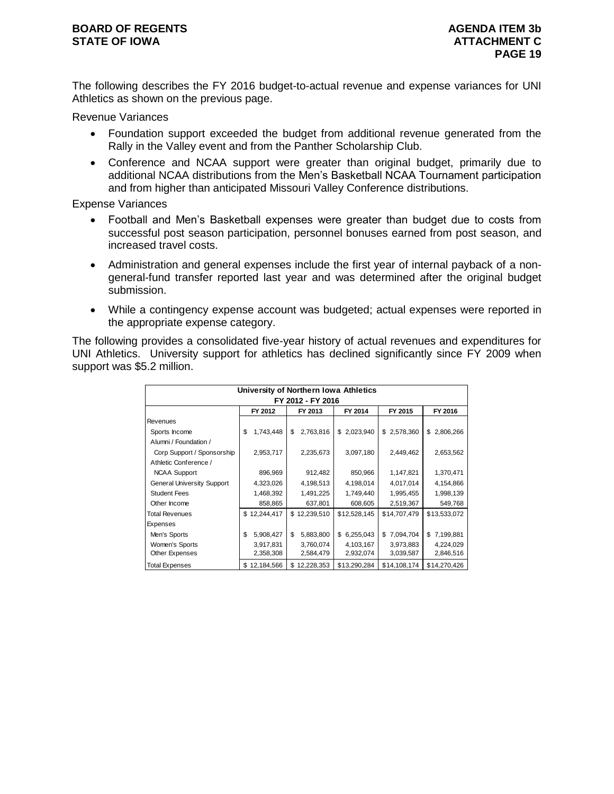## **BOARD OF REGENTS AGENUM AGENDA ITEM 3b STATE OF IOWA ATTACHMENT C**

The following describes the FY 2016 budget-to-actual revenue and expense variances for UNI Athletics as shown on the previous page.

Revenue Variances

- Foundation support exceeded the budget from additional revenue generated from the Rally in the Valley event and from the Panther Scholarship Club.
- Conference and NCAA support were greater than original budget, primarily due to additional NCAA distributions from the Men's Basketball NCAA Tournament participation and from higher than anticipated Missouri Valley Conference distributions.

Expense Variances

- Football and Men's Basketball expenses were greater than budget due to costs from successful post season participation, personnel bonuses earned from post season, and increased travel costs.
- Administration and general expenses include the first year of internal payback of a nongeneral-fund transfer reported last year and was determined after the original budget submission.
- While a contingency expense account was budgeted; actual expenses were reported in the appropriate expense category.

The following provides a consolidated five-year history of actual revenues and expenditures for UNI Athletics. University support for athletics has declined significantly since FY 2009 when support was \$5.2 million.

| University of Northern Iowa Athletics<br>FY 2012 - FY 2016 |                 |                 |                 |              |                 |  |  |  |
|------------------------------------------------------------|-----------------|-----------------|-----------------|--------------|-----------------|--|--|--|
| FY 2012<br>FY 2014<br>FY 2015<br>FY 2016<br>FY 2013        |                 |                 |                 |              |                 |  |  |  |
| Revenues                                                   |                 |                 |                 |              |                 |  |  |  |
| Sports Income                                              | 1,743,448<br>\$ | 2,763,816<br>\$ | 2,023,940<br>\$ | \$2,578,360  | 2,806,266<br>\$ |  |  |  |
| Alumni / Foundation /                                      |                 |                 |                 |              |                 |  |  |  |
| Corp Support / Sponsorship                                 | 2,953,717       | 2,235,673       | 3,097,180       | 2,449,462    | 2,653,562       |  |  |  |
| Athletic Conference /                                      |                 |                 |                 |              |                 |  |  |  |
| <b>NCAA Support</b>                                        | 896,969         | 912,482         | 850,966         | 1,147,821    | 1,370,471       |  |  |  |
| <b>General University Support</b>                          | 4,323,026       | 4,198,513       | 4,198,014       | 4,017,014    | 4,154,866       |  |  |  |
| <b>Student Fees</b>                                        | 1,468,392       | 1,491,225       | 1,749,440       | 1,995,455    | 1,998,139       |  |  |  |
| Other Income                                               | 858,865         | 637,801         | 608,605         | 2,519,367    | 549,768         |  |  |  |
| <b>Total Revenues</b>                                      | \$12,244,417    | \$12,239,510    | \$12,528,145    | \$14,707,479 | \$13,533,072    |  |  |  |
| Expenses                                                   |                 |                 |                 |              |                 |  |  |  |
| Men's Sports                                               | \$<br>5,908,427 | \$<br>5,883,800 | 6,255,043<br>\$ | \$7,094,704  | \$7,199,881     |  |  |  |
| Women's Sports                                             | 3,917,831       | 3,760,074       | 4,103,167       | 3,973,883    | 4,224,029       |  |  |  |
| Other Expenses                                             | 2,358,308       | 2,584,479       | 2,932,074       | 3,039,587    | 2,846,516       |  |  |  |
| <b>Total Expenses</b>                                      | \$12,184,566    | \$12,228,353    | \$13,290,284    | \$14,108,174 | \$14,270,426    |  |  |  |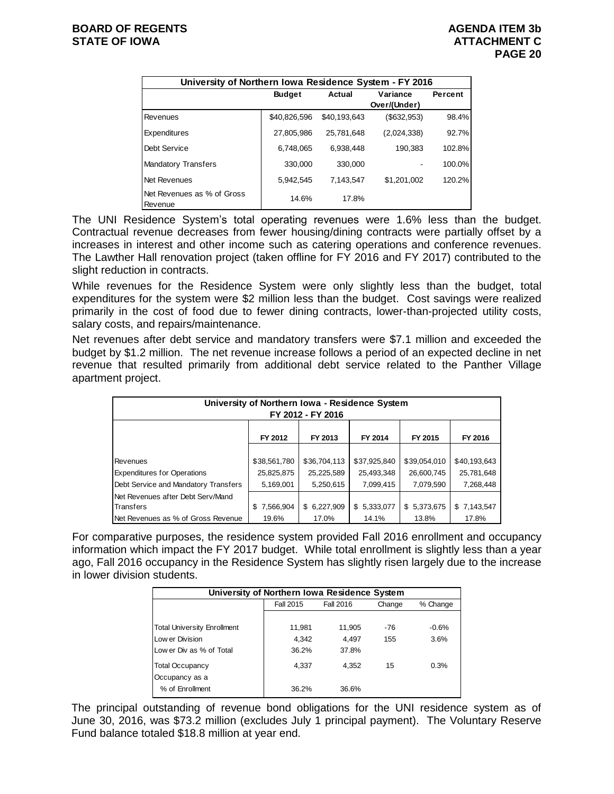| University of Northern Iowa Residence System - FY 2016 |               |              |              |         |  |  |  |  |
|--------------------------------------------------------|---------------|--------------|--------------|---------|--|--|--|--|
|                                                        | <b>Budget</b> | Actual       | Variance     | Percent |  |  |  |  |
|                                                        |               |              | Over/(Under) |         |  |  |  |  |
| Revenues                                               | \$40,826,596  | \$40,193,643 | (\$632,953)  | 98.4%   |  |  |  |  |
| Expenditures                                           | 27,805,986    | 25.781.648   | (2,024,338)  | 92.7%   |  |  |  |  |
| Debt Service                                           | 6.748.065     | 6.938.448    | 190,383      | 102.8%  |  |  |  |  |
| <b>Mandatory Transfers</b>                             | 330,000       | 330,000      |              | 100.0%  |  |  |  |  |
| Net Revenues                                           | 5.942.545     | 7.143.547    | \$1,201,002  | 120.2%  |  |  |  |  |
| Net Revenues as % of Gross<br>Revenue                  | 14.6%         | 17.8%        |              |         |  |  |  |  |

The UNI Residence System's total operating revenues were 1.6% less than the budget. Contractual revenue decreases from fewer housing/dining contracts were partially offset by a increases in interest and other income such as catering operations and conference revenues. The Lawther Hall renovation project (taken offline for FY 2016 and FY 2017) contributed to the slight reduction in contracts.

While revenues for the Residence System were only slightly less than the budget, total expenditures for the system were \$2 million less than the budget. Cost savings were realized primarily in the cost of food due to fewer dining contracts, lower-than-projected utility costs, salary costs, and repairs/maintenance.

Net revenues after debt service and mandatory transfers were \$7.1 million and exceeded the budget by \$1.2 million. The net revenue increase follows a period of an expected decline in net revenue that resulted primarily from additional debt service related to the Panther Village apartment project.

|                                                                                                                                                                                                                                                                                                                                                                                                                                                                                                                                                                                                                                                                                                                                                                                                                                                                                                                                                                                    | <b>Budget</b>                                | Actual                                                          | Variance<br>Over/(Under)                                        |                                                                 | Percent                                                         |  |  |  |  |
|------------------------------------------------------------------------------------------------------------------------------------------------------------------------------------------------------------------------------------------------------------------------------------------------------------------------------------------------------------------------------------------------------------------------------------------------------------------------------------------------------------------------------------------------------------------------------------------------------------------------------------------------------------------------------------------------------------------------------------------------------------------------------------------------------------------------------------------------------------------------------------------------------------------------------------------------------------------------------------|----------------------------------------------|-----------------------------------------------------------------|-----------------------------------------------------------------|-----------------------------------------------------------------|-----------------------------------------------------------------|--|--|--|--|
| Revenues                                                                                                                                                                                                                                                                                                                                                                                                                                                                                                                                                                                                                                                                                                                                                                                                                                                                                                                                                                           | \$40,826,596                                 | \$40,193,643                                                    |                                                                 | (\$632,953)                                                     | 98.4%                                                           |  |  |  |  |
| Expenditures                                                                                                                                                                                                                                                                                                                                                                                                                                                                                                                                                                                                                                                                                                                                                                                                                                                                                                                                                                       | 27,805,986                                   | 25,781,648                                                      |                                                                 | (2,024,338)                                                     | 92.7%                                                           |  |  |  |  |
| Debt Service                                                                                                                                                                                                                                                                                                                                                                                                                                                                                                                                                                                                                                                                                                                                                                                                                                                                                                                                                                       | 6,748,065                                    | 6,938,448                                                       |                                                                 | 190,383                                                         | 102.8%                                                          |  |  |  |  |
| Mandatory Transfers                                                                                                                                                                                                                                                                                                                                                                                                                                                                                                                                                                                                                                                                                                                                                                                                                                                                                                                                                                |                                              | 330,000                                                         | 330,000                                                         |                                                                 | 100.0%                                                          |  |  |  |  |
| <b>Net Revenues</b>                                                                                                                                                                                                                                                                                                                                                                                                                                                                                                                                                                                                                                                                                                                                                                                                                                                                                                                                                                | 5,942,545                                    | 7,143,547                                                       |                                                                 | \$1,201,002                                                     | 120.2%                                                          |  |  |  |  |
| Net Revenues as % of Gross<br>Revenue                                                                                                                                                                                                                                                                                                                                                                                                                                                                                                                                                                                                                                                                                                                                                                                                                                                                                                                                              |                                              | 14.6%                                                           | 17.8%                                                           |                                                                 |                                                                 |  |  |  |  |
| The UNI Residence System's total operating revenues were 1.6% less than the<br>Contractual revenue decreases from fewer housing/dining contracts were partially offs<br>increases in interest and other income such as catering operations and conference re<br>The Lawther Hall renovation project (taken offline for FY 2016 and FY 2017) contribute<br>slight reduction in contracts.<br>While revenues for the Residence System were only slightly less than the budg<br>expenditures for the system were \$2 million less than the budget. Cost savings were<br>primarily in the cost of food due to fewer dining contracts, lower-than-projected utilit<br>salary costs, and repairs/maintenance.<br>Net revenues after debt service and mandatory transfers were \$7.1 million and excee<br>budget by \$1.2 million. The net revenue increase follows a period of an expected declir<br>revenue that resulted primarily from additional debt service related to the Panther |                                              |                                                                 |                                                                 |                                                                 |                                                                 |  |  |  |  |
| apartment project.<br>University of Northern Iowa - Residence System<br>FY 2012 - FY 2016                                                                                                                                                                                                                                                                                                                                                                                                                                                                                                                                                                                                                                                                                                                                                                                                                                                                                          |                                              |                                                                 |                                                                 |                                                                 |                                                                 |  |  |  |  |
|                                                                                                                                                                                                                                                                                                                                                                                                                                                                                                                                                                                                                                                                                                                                                                                                                                                                                                                                                                                    | FY 2012                                      | FY 2013                                                         | FY 2014                                                         | FY 2015                                                         | FY 2016                                                         |  |  |  |  |
| Revenues<br><b>Expenditures for Operations</b><br>Debt Service and Mandatory Transfers<br>Net Revenues after Debt Serv/Mand<br><b>Transfers</b>                                                                                                                                                                                                                                                                                                                                                                                                                                                                                                                                                                                                                                                                                                                                                                                                                                    |                                              | \$36,704,113<br>25,225,589<br>5,250,615<br>\$6,227,909<br>17.0% | \$37,925,840<br>25,493,348<br>7,099,415<br>\$5,333,077<br>14.1% | \$39,054,010<br>26,600,745<br>7,079,590<br>\$5,373,675<br>13.8% | \$40,193,643<br>25,781,648<br>7,268,448<br>\$7,143,547<br>17.8% |  |  |  |  |
| Net Revenues as % of Gross Revenue<br>For comparative purposes, the residence system provided Fall 2016 enrollment and occ<br>information which impact the FY 2017 budget. While total enrollment is slightly less tha<br>ago, Fall 2016 occupancy in the Residence System has slightly risen largely due to the i<br>in lower division students.                                                                                                                                                                                                                                                                                                                                                                                                                                                                                                                                                                                                                                  | 19.6%                                        |                                                                 |                                                                 |                                                                 |                                                                 |  |  |  |  |
|                                                                                                                                                                                                                                                                                                                                                                                                                                                                                                                                                                                                                                                                                                                                                                                                                                                                                                                                                                                    | University of Northern Iowa Residence System |                                                                 |                                                                 |                                                                 |                                                                 |  |  |  |  |
|                                                                                                                                                                                                                                                                                                                                                                                                                                                                                                                                                                                                                                                                                                                                                                                                                                                                                                                                                                                    | <b>Fall 2015</b>                             | <b>Fall 2016</b>                                                | Change                                                          | % Change                                                        |                                                                 |  |  |  |  |
| <b>Total University Enrollment</b><br>Low er Division<br>Low er Div as % of Total                                                                                                                                                                                                                                                                                                                                                                                                                                                                                                                                                                                                                                                                                                                                                                                                                                                                                                  |                                              | 11,981<br>4,342<br>36.2%                                        | 11,905<br>-76<br>4,497<br>155<br>37.8%                          | $-0.6%$<br>3.6%                                                 |                                                                 |  |  |  |  |
| <b>Total Occupancy</b><br>Occupancy as a<br>% of Enrollment                                                                                                                                                                                                                                                                                                                                                                                                                                                                                                                                                                                                                                                                                                                                                                                                                                                                                                                        |                                              | 4,337<br>36.2%                                                  | 15<br>4,352<br>36.6%                                            | 0.3%                                                            |                                                                 |  |  |  |  |
| The principal outstanding of revenue bond obligations for the UNI residence syster<br>June 30, 2016, was \$73.2 million (excludes July 1 principal payment). The Voluntary l<br>Fund balance totaled \$18.8 million at year end.                                                                                                                                                                                                                                                                                                                                                                                                                                                                                                                                                                                                                                                                                                                                                   |                                              |                                                                 |                                                                 |                                                                 |                                                                 |  |  |  |  |

For comparative purposes, the residence system provided Fall 2016 enrollment and occupancy information which impact the FY 2017 budget. While total enrollment is slightly less than a year ago, Fall 2016 occupancy in the Residence System has slightly risen largely due to the increase in lower division students.

| University of Northern Iowa Residence System |           |           |        |          |  |  |  |  |
|----------------------------------------------|-----------|-----------|--------|----------|--|--|--|--|
|                                              | Fall 2015 | Fall 2016 | Change | % Change |  |  |  |  |
|                                              |           |           |        |          |  |  |  |  |
| <b>Total University Enrollment</b>           | 11,981    | 11,905    | $-76$  | $-0.6%$  |  |  |  |  |
| Low er Division                              | 4.342     | 4.497     | 155    | 3.6%     |  |  |  |  |
| Low er Div as % of Total                     | 36.2%     | 37.8%     |        |          |  |  |  |  |
| <b>Total Occupancy</b>                       | 4,337     | 4,352     | 15     | 0.3%     |  |  |  |  |
| Occupancy as a<br>% of Enrollment            | 36.2%     | 36.6%     |        |          |  |  |  |  |

The principal outstanding of revenue bond obligations for the UNI residence system as of June 30, 2016, was \$73.2 million (excludes July 1 principal payment). The Voluntary Reserve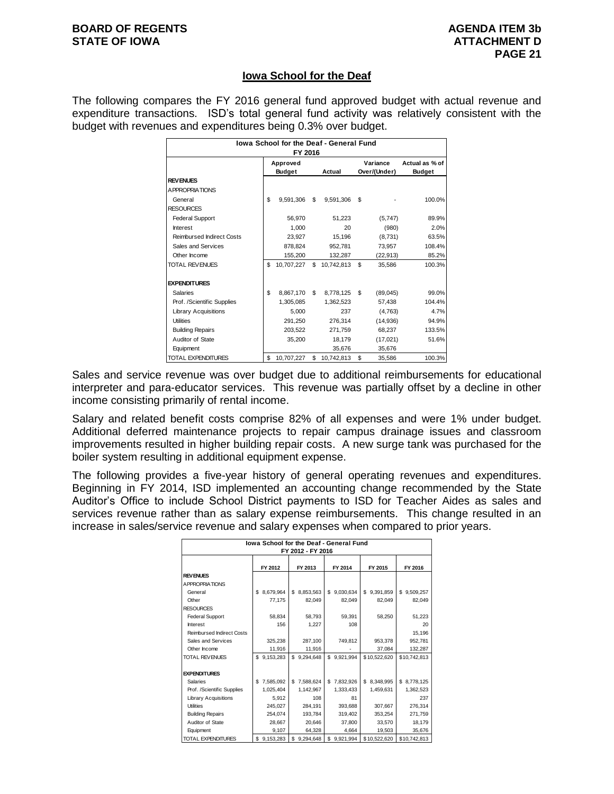## **Iowa School for the Deaf**

The following compares the FY 2016 general fund approved budget with actual revenue and expenditure transactions. ISD's total general fund activity was relatively consistent with the budget with revenues and expenditures being 0.3% over budget.

| lowa School for the Deaf - General Fund<br>FY 2016 |                           |            |    |            |                          |           |                                 |  |  |
|----------------------------------------------------|---------------------------|------------|----|------------|--------------------------|-----------|---------------------------------|--|--|
|                                                    | Approved<br><b>Budget</b> |            |    | Actual     | Variance<br>Over/(Under) |           | Actual as % of<br><b>Budget</b> |  |  |
| <b>REVENUES</b>                                    |                           |            |    |            |                          |           |                                 |  |  |
| A PPROPRIATIONS                                    |                           |            |    |            |                          |           |                                 |  |  |
| General                                            | \$                        | 9,591,306  | \$ | 9.591.306  | \$                       |           | 100.0%                          |  |  |
| <b>RESOURCES</b>                                   |                           |            |    |            |                          |           |                                 |  |  |
| <b>Federal Support</b>                             |                           | 56.970     |    | 51,223     |                          | (5,747)   | 89.9%                           |  |  |
| Interest                                           |                           | 1.000      |    | 20         |                          | (980)     | 2.0%                            |  |  |
| <b>Reimbursed Indirect Costs</b>                   |                           | 23.927     |    | 15,196     |                          | (8,731)   | 63.5%                           |  |  |
| Sales and Services                                 |                           | 878.824    |    | 952.781    |                          | 73.957    | 108.4%                          |  |  |
| Other Income                                       |                           | 155,200    |    | 132,287    |                          | (22, 913) | 85.2%                           |  |  |
| <b>TOTAL REVENUES</b>                              | \$                        | 10.707.227 | \$ | 10.742.813 | \$                       | 35.586    | 100.3%                          |  |  |
| <b>EXPENDITURES</b>                                |                           |            |    |            |                          |           |                                 |  |  |
| <b>Salaries</b>                                    | \$                        | 8,867,170  | \$ | 8,778,125  | \$                       | (89,045)  | 99.0%                           |  |  |
| Prof. /Scientific Supplies                         |                           | 1,305,085  |    | 1,362,523  |                          | 57.438    | 104.4%                          |  |  |
| Library Acquisitions                               |                           | 5.000      |    | 237        |                          | (4.763)   | 4.7%                            |  |  |
| <b>Utilities</b>                                   |                           | 291.250    |    | 276,314    |                          | (14, 936) | 94.9%                           |  |  |
| <b>Building Repairs</b>                            |                           | 203.522    |    | 271.759    |                          | 68.237    | 133.5%                          |  |  |
| Auditor of State                                   |                           | 35,200     |    | 18,179     |                          | (17,021)  | 51.6%                           |  |  |
| Equipment                                          |                           |            |    | 35,676     |                          | 35,676    |                                 |  |  |
| <b>TOTAL EXPENDITURES</b>                          | \$                        | 10,707,227 | \$ | 10,742,813 | \$                       | 35,586    | 100.3%                          |  |  |

Sales and service revenue was over budget due to additional reimbursements for educational interpreter and para-educator services. This revenue was partially offset by a decline in other income consisting primarily of rental income.

Salary and related benefit costs comprise 82% of all expenses and were 1% under budget. Additional deferred maintenance projects to repair campus drainage issues and classroom improvements resulted in higher building repair costs. A new surge tank was purchased for the boiler system resulting in additional equipment expense.

The following provides a five-year history of general operating revenues and expenditures. Beginning in FY 2014, ISD implemented an accounting change recommended by the State Auditor's Office to include School District payments to ISD for Teacher Aides as sales and services revenue rather than as salary expense reimbursements. This change resulted in an increase in sales/service revenue and salary expenses when compared to prior years.

| lowa School for the Deaf - General Fund<br>FY 2012 - FY 2016 |                                                     |                  |                 |                 |                 |  |  |  |  |  |
|--------------------------------------------------------------|-----------------------------------------------------|------------------|-----------------|-----------------|-----------------|--|--|--|--|--|
|                                                              | FY 2014<br>FY 2012<br>FY 2013<br>FY 2015<br>FY 2016 |                  |                 |                 |                 |  |  |  |  |  |
| <b>REVENUES</b>                                              |                                                     |                  |                 |                 |                 |  |  |  |  |  |
| A PPROPRIATIONS                                              |                                                     |                  |                 |                 |                 |  |  |  |  |  |
| General                                                      | \$<br>8,679,964                                     | 8,853,563<br>\$. | S<br>9,030,634  | £.<br>9,391,859 | 9,509,257<br>s. |  |  |  |  |  |
| Other                                                        | 77,175                                              | 82,049           | 82,049          | 82,049          | 82,049          |  |  |  |  |  |
| <b>RESOURCES</b>                                             |                                                     |                  |                 |                 |                 |  |  |  |  |  |
| <b>Federal Support</b>                                       | 58.834                                              | 58.793           | 59.391          | 58.250          | 51,223          |  |  |  |  |  |
| Interest                                                     | 156                                                 | 1,227            | 108             |                 | 20              |  |  |  |  |  |
| <b>Reimbursed Indirect Costs</b>                             |                                                     |                  |                 |                 | 15,196          |  |  |  |  |  |
| Sales and Services                                           | 325,238                                             | 287.100          | 749.812         | 953.378         | 952,781         |  |  |  |  |  |
| Other Income                                                 | 11,916                                              | 11,916           |                 | 37.084          | 132,287         |  |  |  |  |  |
| <b>TOTAL REVENUES</b>                                        | \$<br>9,153,283                                     | \$.<br>9.294.648 | \$<br>9.921.994 | \$10,522,620    | \$10,742,813    |  |  |  |  |  |
| <b>EXPENDITURES</b>                                          |                                                     |                  |                 |                 |                 |  |  |  |  |  |
| <b>Salaries</b>                                              | 7,585,092<br>\$                                     | \$<br>7,588,624  | 7,832,926<br>\$ | \$<br>8,348,995 | \$ 8,778,125    |  |  |  |  |  |
| Prof. /Scientific Supplies                                   | 1.025.404                                           | 1,142,967        | 1,333,433       | 1,459,631       | 1,362,523       |  |  |  |  |  |
| <b>Library Acquisitions</b>                                  | 5.912                                               | 108              | 81              |                 | 237             |  |  |  |  |  |
| <b>Utilities</b>                                             | 245,027                                             | 284.191          | 393,688         | 307,667         | 276,314         |  |  |  |  |  |
| <b>Building Repairs</b>                                      | 254.074                                             | 193.784          | 319,402         | 353,254         | 271,759         |  |  |  |  |  |
| Auditor of State                                             | 28.667                                              | 20.646           | 37,800          | 33.570          | 18.179          |  |  |  |  |  |
| Equipment                                                    | 9,107                                               | 64,328           | 4.664           | 19,503          | 35,676          |  |  |  |  |  |
| <b>TOTAL EXPENDITURES</b>                                    | S<br>9,153,283                                      | \$<br>9.294.648  | S<br>9,921,994  | \$10,522,620    | \$10.742.813    |  |  |  |  |  |